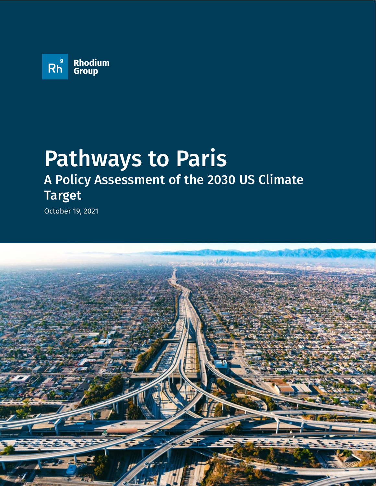

# Pathways to Paris A Policy Assessment of the 2030 US Climate Target

October 19, 2021

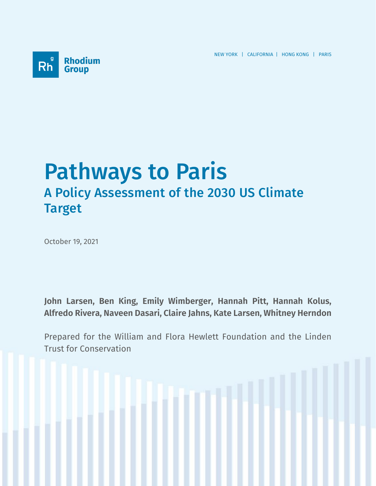NEW YORK | CALIFORNIA | HONG KONG | PARIS



# Pathways to Paris A Policy Assessment of the 2030 US Climate Target

October 19, 2021

**John Larsen, Ben King, Emily Wimberger, Hannah Pitt, Hannah Kolus, Alfredo Rivera, Naveen Dasari, Claire Jahns, Kate Larsen, Whitney Herndon**

Prepared for the William and Flora Hewlett Foundation and the Linden Trust for Conservation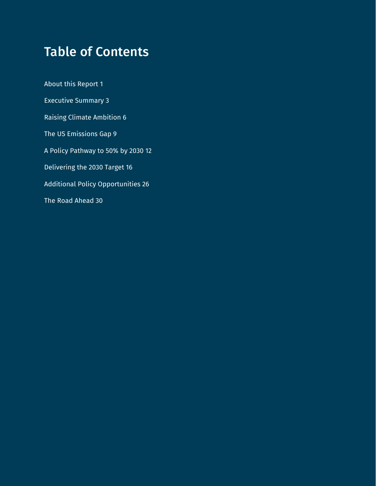# Table of Contents

About this Report 1 Executive Summary 3 Raising Climate Ambition 6 The US Emissions Gap 9 A Policy Pathway to 50% by 2030 12 Delivering the 2030 Target 16 Additional Policy Opportunities 26 The Road Ahead 30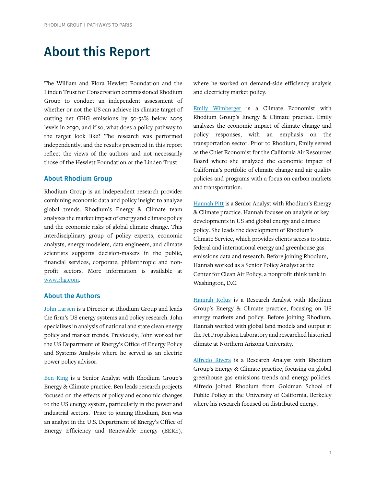# About this Report

The William and Flora Hewlett Foundation and the Linden Trust for Conservation commissioned Rhodium Group to conduct an independent assessment of whether or not the US can achieve its climate target of cutting net GHG emissions by 50-52% below 2005 levels in 2030, and if so, what does a policy pathway to the target look like? The research was performed independently, and the results presented in this report reflect the views of the authors and not necessarily those of the Hewlett Foundation or the Linden Trust.

# About Rhodium Group

Rhodium Group is an independent research provider combining economic data and policy insight to analyze global trends. Rhodium's Energy & Climate team analyzes the market impact of energy and climate policy and the economic risks of global climate change. This interdisciplinary group of policy experts, economic analysts, energy modelers, data engineers, and climate scientists supports decision-makers in the public, financial services, corporate, philanthropic and nonprofit sectors. More information is available at [www.rhg.com.](http://www.rhg.com/) 

### About the Authors

[John Larsen](https://rhg.com/team/john-larsen/) is a Director at Rhodium Group and leads the firm's US energy systems and policy research. John specializes in analysis of national and state clean energy policy and market trends. Previously, John worked for the US Department of Energy's Office of Energy Policy and Systems Analysis where he served as an electric power policy advisor.

[Ben King](https://rhg.com/team/ben-king/) is a Senior Analyst with Rhodium Group's Energy & Climate practice. Ben leads research projects focused on the effects of policy and economic changes to the US energy system, particularly in the power and industrial sectors. Prior to joining Rhodium, Ben was an analyst in the U.S. Department of Energy's Office of Energy Efficiency and Renewable Energy (EERE),

where he worked on demand-side efficiency analysis and electricity market policy.

[Emily Wimberger](https://rhg.com/team/emily-wimberger/) is a Climate Economist with Rhodium Group's Energy & Climate practice. Emily analyzes the economic impact of climate change and policy responses, with an emphasis on the transportation sector. Prior to Rhodium, Emily served as the Chief Economist for the California Air Resources Board where she analyzed the economic impact of California's portfolio of climate change and air quality policies and programs with a focus on carbon markets and transportation.

[Hannah Pitt](https://rhg.com/team/hannah-pitt/) is a Senior Analyst with Rhodium's Energy & Climate practice. Hannah focuses on analysis of key developments in US and global energy and climate policy. She leads the development o[f Rhodium's](https://rhg.com/impact/us-climate-service/)  [Climate Service,](https://rhg.com/impact/us-climate-service/) which provides clients access to state, federal and international energy and greenhouse gas emissions data and research. Before joining Rhodium, Hannah worked as a Senior Policy Analyst at the Center for Clean Air Policy, a nonprofit think tank in Washington, D.C.

[Hannah Kolus](https://rhg.com/team/hannah-kolus/) is a Research Analyst with Rhodium Group's Energy & Climate practice, focusing on US energy markets and policy. Before joining Rhodium, Hannah worked with global land models and output at the Jet Propulsion Laboratory and researched historical climate at Northern Arizona University.

[Alfredo Rivera](https://rhg.com/team/alfredo-rivera/) is a Research Analyst with Rhodium Group's Energy & Climate practice, focusing on global greenhouse gas emissions trends and energy policies. Alfredo joined Rhodium from Goldman School of Public Policy at the University of California, Berkeley where his research focused on distributed energy.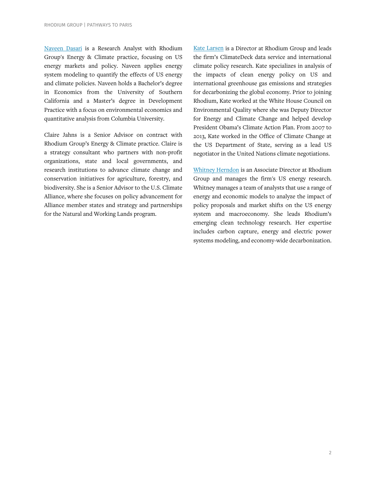[Naveen Dasari](https://rhg.com/team/naveen-dasari/) is a Research Analyst with Rhodium Group's Energy & Climate practice, focusing on US energy markets and policy. Naveen applies energy system modeling to quantify the effects of US energy and climate policies. Naveen holds a Bachelor's degree in Economics from the University of Southern California and a Master's degree in Development Practice with a focus on environmental economics and quantitative analysis from Columbia University.

Claire Jahns is a Senior Advisor on contract with Rhodium Group's Energy & Climate practice. Claire is a strategy consultant who partners with non-profit organizations, state and local governments, and research institutions to advance climate change and conservation initiatives for agriculture, forestry, and biodiversity. She is a Senior Advisor to the U.S. Climate Alliance, where she focuses on policy advancement for Alliance member states and strategy and partnerships for the Natural and Working Lands program.

[Kate Larsen](https://rhg.com/team/kate-larsen/) is a Director at Rhodium Group and leads the firm's ClimateDeck data service and international climate policy research. Kate specializes in analysis of the impacts of clean energy policy on US and international greenhouse gas emissions and strategies for decarbonizing the global economy. Prior to joining Rhodium, Kate worked at the White House Council on Environmental Quality where she was Deputy Director for Energy and Climate Change and helped develop President Obama's Climate Action Plan. From 2007 to 2013, Kate worked in the Office of Climate Change at the US Department of State, serving as a lead US negotiator in the United Nations climate negotiations.

[Whitney Herndon](https://rhg.com/team/whitney-herndon/) is an Associate Director at Rhodium Group and manages the firm's US energy research. Whitney manages a team of analysts that use a range of energy and economic models to analyze the impact of policy proposals and market shifts on the US energy system and macroeconomy. She leads Rhodium's emerging clean technology research. Her expertise includes carbon capture, energy and electric power systems modeling, and economy-wide decarbonization.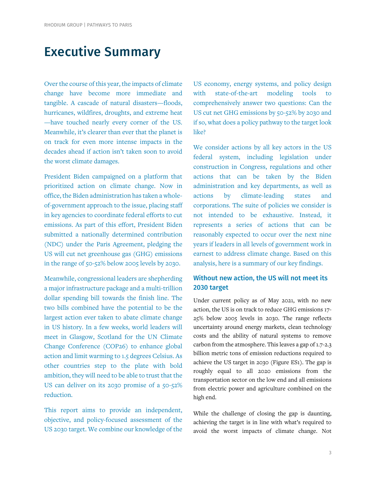# Executive Summary

Over the course of this year, the impacts of climate change have become more immediate and tangible. A cascade of natural disasters—floods, hurricanes, wildfires, droughts, and extreme heat —have touched nearly every corner of the US. Meanwhile, it's clearer than ever that the planet is on track for even more intense impacts in the decades ahead if action isn't taken soon to avoid the worst climate damages.

President Biden campaigned on a platform that prioritized action on climate change. Now in office, the Biden administration has taken a wholeof-government approach to the issue, placing staff in key agencies to coordinate federal efforts to cut emissions. As part of this effort, President Biden submitted a nationally determined contribution (NDC) under the Paris Agreement, pledging the US will cut net greenhouse gas (GHG) emissions in the range of 50-52% below 2005 levels by 2030.

Meanwhile, congressional leaders are shepherding a major infrastructure package and a multi-trillion dollar spending bill towards the finish line. The two bills combined have the potential to be the largest action ever taken to abate climate change in US history. In a few weeks, world leaders will meet in Glasgow, Scotland for the UN Climate Change Conference (COP26) to enhance global action and limit warming to 1.5 degrees Celsius. As other countries step to the plate with bold ambition, they will need to be able to trust that the US can deliver on its 2030 promise of a 50-52% reduction.

This report aims to provide an independent, objective, and policy-focused assessment of the US 2030 target. We combine our knowledge of the US economy, energy systems, and policy design with state-of-the-art modeling tools to comprehensively answer two questions: Can the US cut net GHG emissions by 50-52% by 2030 and if so, what does a policy pathway to the target look like?

We consider actions by all key actors in the US federal system, including legislation under construction in Congress, regulations and other actions that can be taken by the Biden administration and key departments, as well as actions by climate-leading states and corporations. The suite of policies we consider is not intended to be exhaustive. Instead, it represents a series of actions that can be reasonably expected to occur over the next nine years if leaders in all levels of government work in earnest to address climate change. Based on this analysis, here is a summary of our key findings.

# Without new action, the US will not meet its 2030 target

Under current policy as of May 2021, with no new action, the US is on track to reduce GHG emissions 17- 25% below 2005 levels in 2030. The range reflects uncertainty around energy markets, clean technology costs and the ability of natural systems to remove carbon from the atmosphere. This leaves a gap of 1.7-2.3 billion metric tons of emission reductions required to achieve the US target in 2030 (Figure ES1). The gap is roughly equal to all 2020 emissions from the transportation sector on the low end and all emissions from electric power and agriculture combined on the high end.

While the challenge of closing the gap is daunting, achieving the target is in line with what's required to avoid the worst impacts of climate change. Not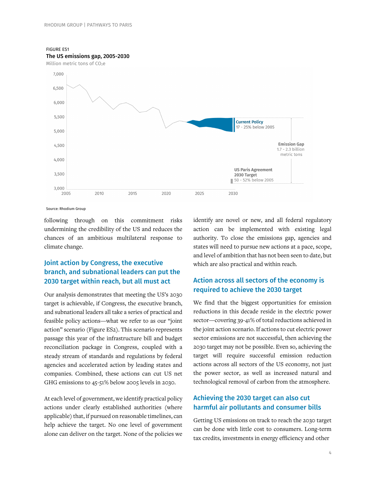FIGURE ES1 The US emissions gap, 2005-2030





Source: Rhodium Group

following through on this commitment risks undermining the credibility of the US and reduces the chances of an ambitious multilateral response to climate change.

# Joint action by Congress, the executive branch, and subnational leaders can put the 2030 target within reach, but all must act

Our analysis demonstrates that meeting the US's 2030 target is achievable, if Congress, the executive branch, and subnational leaders all take a series of practical and feasible policy actions—what we refer to as our "joint action" scenario (Figure ES2). This scenario represents passage this year of the infrastructure bill and budget reconciliation package in Congress, coupled with a steady stream of standards and regulations by federal agencies and accelerated action by leading states and companies. Combined, these actions can cut US net GHG emissions to 45-51% below 2005 levels in 2030.

At each level of government, we identify practical policy actions under clearly established authorities (where applicable) that, if pursued on reasonable timelines, can help achieve the target. No one level of government alone can deliver on the target. None of the policies we

identify are novel or new, and all federal regulatory action can be implemented with existing legal authority. To close the emissions gap, agencies and states will need to pursue new actions at a pace, scope, and level of ambition that has not been seen to date, but which are also practical and within reach.

# Action across all sectors of the economy is required to achieve the 2030 target

We find that the biggest opportunities for emission reductions in this decade reside in the electric power sector—covering 39-41% of total reductions achieved in the joint action scenario. If actions to cut electric power sector emissions are not successful, then achieving the 2030 target may not be possible. Even so, achieving the target will require successful emission reduction actions across all sectors of the US economy, not just the power sector, as well as increased natural and technological removal of carbon from the atmosphere.

# Achieving the 2030 target can also cut harmful air pollutants and consumer bills

Getting US emissions on track to reach the 2030 target can be done with little cost to consumers. Long-term tax credits, investments in energy efficiency and other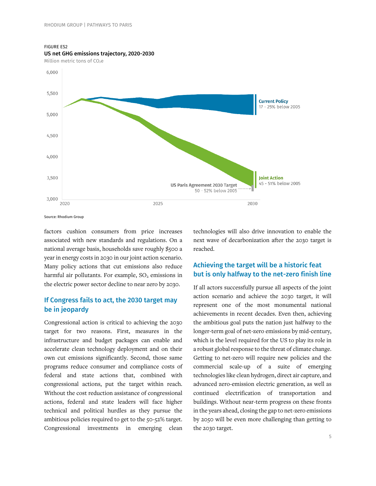#### FIGURE ES2



US net GHG emissions trajectory, 2020-2030

Million metric tons of CO<sub>2</sub>e

factors cushion consumers from price increases associated with new standards and regulations. On a national average basis, households save roughly \$500 a year in energy costs in 2030 in our joint action scenario. Many policy actions that cut emissions also reduce harmful air pollutants. For example,  $SO<sub>2</sub>$  emissions in the electric power sector decline to near zero by 2030.

# If Congress fails to act, the 2030 target may be in jeopardy

Congressional action is critical to achieving the 2030 target for two reasons. First, measures in the infrastructure and budget packages can enable and accelerate clean technology deployment and on their own cut emissions significantly. Second, those same programs reduce consumer and compliance costs of federal and state actions that, combined with congressional actions, put the target within reach. Without the cost reduction assistance of congressional actions, federal and state leaders will face higher technical and political hurdles as they pursue the ambitious policies required to get to the 50-52% target. Congressional investments in emerging clean

technologies will also drive innovation to enable the next wave of decarbonization after the 2030 target is reached.

# Achieving the target will be a historic feat but is only halfway to the net-zero finish line

If all actors successfully pursue all aspects of the joint action scenario and achieve the 2030 target, it will represent one of the most monumental national achievements in recent decades. Even then, achieving the ambitious goal puts the nation just halfway to the longer-term goal of net-zero emissions by mid-century, which is the level required for the US to play its role in a robust global response to the threat of climate change. Getting to net-zero will require new policies and the commercial scale-up of a suite of emerging technologies like clean hydrogen, direct air capture, and advanced zero-emission electric generation, as well as continued electrification of transportation and buildings. Without near-term progress on these fronts in the years ahead, closing the gap to net-zero emissions by 2050 will be even more challenging than getting to the 2030 target.

Source: Rhodium Group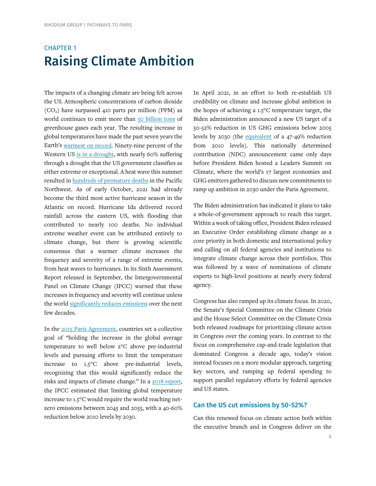# CHAPTER 1 Raising Climate Ambition

The impacts of a changing climate are being felt across the US. Atmospheric concentrations of carbon dioxide  $(CO<sub>2</sub>)$  have surpassed 410 parts per million (PPM) as world continues to emit more than [50 billion tons](https://www.bloomberg.com/graphics/climate-change-data-green/emissions.html) of greenhouse gases each year. The resulting increase in global temperatures have made the past seven years the Earth's [warmest on record.](https://www.noaa.gov/news/2020-was-earth-s-2nd-hottest-year-just-behind-2016) Ninety-nine percent of the Western US [is in a drought,](https://droughtmonitor.unl.edu/CurrentMap/StateDroughtMonitor.aspx?West) with nearly 60% suffering through a drought that the US government classifies as either extreme or exceptional. A heat wave this summer resulted in [hundreds of premature deaths](https://www.nytimes.com/interactive/2021/08/11/climate/deaths-pacific-northwest-heat-wave.html) in the Pacific Northwest. As of early October, 2021 had already become the third most active hurricane season in the Atlantic on record. Hurricane Ida delivered record rainfall across the eastern US, with flooding that contributed to nearly 100 deaths. No individual extreme weather event can be attributed entirely to climate change, but there is growing scientific consensus that a warmer climate increases the frequency and severity of a range of extreme events, from heat waves to hurricanes. In its Sixth Assessment Report released in September, the Intergovernmental Panel on Climate Change (IPCC) warned that these increases in frequency and severity will continue unless the worl[d significantly reduces emissions](https://www.ipcc.ch/report/ar6/wg1/downloads/report/IPCC_AR6_WGI_SPM.pdf) over the next few decades.

In the [2015 Paris Agreement,](https://unfccc.int/sites/default/files/english_paris_agreement.pdf) countries set a collective goal of "holding the increase in the global average temperature to well below 2°C above pre-industrial levels and pursuing efforts to limit the temperature increase to 1.5°C above pre-industrial levels, recognizing that this would significantly reduce the risks and impacts of climate change." In a [2018 report,](https://www.ipcc.ch/sr15/chapter/spm/)  the IPCC estimated that limiting global temperature increase to 1.5°C would require the world reaching netzero emissions between 2045 and 2055, with a 40-60% reduction below 2010 levels by 2030.

In April 2021, in an effort to both re-establish US credibility on climate and increase global ambition in the hopes of achieving a 1.5°C temperature target, the Biden administration announced a [new US target](https://www4.unfccc.int/sites/ndcstaging/PublishedDocuments/United%20States%20of%20America%20First/United%20States%20NDC%20April%2021%202021%20Final.pdf) of a 50-52% reduction in US GHG emissions below 2005 levels by 2030 (the [equivalent](https://rhg.com/research/climate-ambition-us-ndc/) of a 47-49% reduction from 2010 levels). This nationally determined contribution (NDC) announcement came only days before President Biden hosted a Leaders Summit on Climate, where the world's 17 largest economies and GHG emitters gathered to discuss new commitments to ramp up ambition in 2030 under the Paris Agreement.

The Biden administration has indicated it plans to take a whole-of-government approach to reach this target. Within a week of taking office, President Biden released an Executive Order establishing climate change as a core priority in both domestic and international policy and calling on all federal agencies and institutions to integrate climate change across their portfolios. This was followed by a wave of nominations of climate experts to high-level positions at nearly every federal agency.

Congress has also ramped up its climate focus. In 2020, the [Senate's Special Committee on the Climate Crisis](https://www.democrats.senate.gov/climate-report) and the [House Select Committee on the Climate Crisis](https://climatecrisis.house.gov/report) both released roadmaps for prioritizing climate action in Congress over the coming years. In contrast to the focus on comprehensive cap-and-trade legislation that dominated Congress a decade ago, today's vision instead focuses on a more modular approach, targeting key sectors, and ramping up federal spending to support parallel regulatory efforts by federal agencies and US states.

# Can the US cut emissions by 50-52%?

Can this renewed focus on climate action both within the executive branch and in Congress deliver on the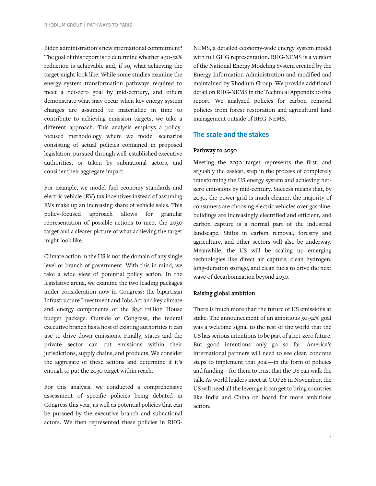Biden administration's new international commitment? The goal of this report is to determine whether a 50-52% reduction is achievable and, if so, what achieving the target might look like. While some studies examine the energy system transformation pathways required to meet a net-zero goal by mid-century, and others demonstrate what may occur when key energy system changes are assumed to materialize in time to contribute to achieving emission targets, we take a different approach. This analysis employs a policyfocused methodology where we model scenarios consisting of actual policies contained in proposed legislation, pursued through well-established executive authorities, or taken by subnational actors, and consider their aggregate impact.

For example, we model fuel economy standards and electric vehicle (EV) tax incentives instead of assuming EVs make up an increasing share of vehicle sales. This policy-focused approach allows for granular representation of possible actions to meet the 2030 target and a clearer picture of what achieving the target might look like.

Climate action in the US is not the domain of any single level or branch of government. With this in mind, we take a wide view of potential policy action. In the legislative arena, we examine the two leading packages under consideration now in Congress: the bipartisan Infrastructure Investment and Jobs Act and key climate and energy components of the \$3.5 trillion House budget package. Outside of Congress, the federal executive branch has a host of existing authorities it can use to drive down emissions. Finally, states and the private sector can cut emissions within their jurisdictions, supply chains, and products. We consider the aggregate of these actions and determine if it's enough to put the 2030 target within reach.

For this analysis, we conducted a comprehensive assessment of specific policies being debated in Congress this year, as well as potential policies that can be pursued by the executive branch and subnational actors. We then represented these policies in RHG-

NEMS, a detailed economy-wide energy system model with full GHG representation. RHG-NEMS is a version of the National Energy Modeling System created by the Energy Information Administration and modified and maintained by Rhodium Group. We provide additional detail on RHG-NEMS in the Technical Appendix to this report. We analyzed policies for carbon removal policies from forest restoration and agricultural land management outside of RHG-NEMS.

# The scale and the stakes

#### Pathway to 2050

Meeting the 2030 target represents the first, and arguably the easiest, step in the process of completely transforming the US energy system and achieving netzero emissions by mid-century. Success means that, by 2030, the power grid is much cleaner, the majority of consumers are choosing electric vehicles over gasoline, buildings are increasingly electrified and efficient, and carbon capture is a normal part of the industrial landscape. Shifts in carbon removal, forestry and agriculture, and other sectors will also be underway. Meanwhile, the US will be scaling up emerging technologies like direct air capture, clean hydrogen, long-duration storage, and clean fuels to drive the next wave of decarbonization beyond 2030.

#### Raising global ambition

There is much more than the future of US emissions at stake. The announcement of an ambitious 50-52% goal was a welcome signal to the rest of the world that the US has serious intentions to be part of a net-zero future. But good intentions only go so far. America's international partners will need to see clear, concrete steps to implement that goal—in the form of policies and funding—for them to trust that the US can walk the talk. As world leaders meet at COP26 in November, the US will need all the leverage it can get to bring countries like India and China on board for more ambitious action.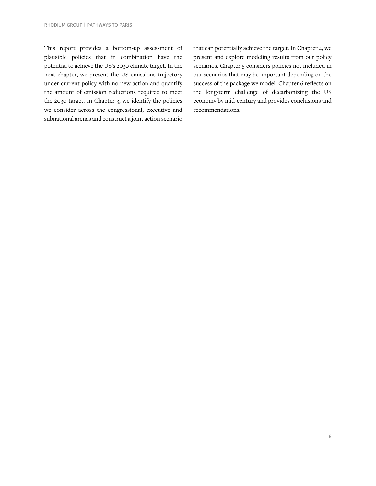This report provides a bottom-up assessment of plausible policies that in combination have the potential to achieve the US's 2030 climate target. In the next chapter, we present the US emissions trajectory under current policy with no new action and quantify the amount of emission reductions required to meet the 2030 target. In Chapter 3, we identify the policies we consider across the congressional, executive and subnational arenas and construct a joint action scenario

that can potentially achieve the target. In Chapter 4, we present and explore modeling results from our policy scenarios. Chapter 5 considers policies not included in our scenarios that may be important depending on the success of the package we model. Chapter 6 reflects on the long-term challenge of decarbonizing the US economy by mid-century and provides conclusions and recommendations.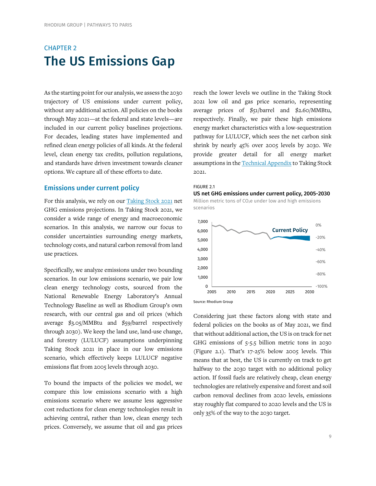# CHAPTER 2 The US Emissions Gap

As the starting point for our analysis, we assess the 2030 trajectory of US emissions under current policy, without any additional action. All policies on the books through May 2021—at the federal and state levels—are included in our current policy baselines projections. For decades, leading states have implemented and refined clean energy policies of all kinds. At the federal level, clean energy tax credits, pollution regulations, and standards have driven investment towards cleaner options. We capture all of these efforts to date.

#### Emissions under current policy

For this analysis, we rely on our [Taking Stock 2021](https://rhg.com/research/taking-stock-2021/) net GHG emissions projections. In Taking Stock 2021, we consider a wide range of energy and macroeconomic scenarios. In this analysis, we narrow our focus to consider uncertainties surrounding energy markets, technology costs, and natural carbon removal from land use practices.

Specifically, we analyze emissions under two bounding scenarios. In our low emissions scenario, we pair low clean energy technology costs, sourced from the National Renewable Energy Laboratory's Annual Technology Baseline as well as Rhodium Group's own research, with our central gas and oil prices (which average \$3.05/MMBtu and \$59/barrel respectively through 2030). We keep the land use, land-use change, and forestry (LULUCF) assumptions underpinning Taking Stock 2021 in place in our low emissions scenario, which effectively keeps LULUCF negative emissions flat from 2005 levels through 2030.

To bound the impacts of the policies we model, we compare this low emissions scenario with a high emissions scenario where we assume less aggressive cost reductions for clean energy technologies result in achieving central, rather than low, clean energy tech prices. Conversely, we assume that oil and gas prices

reach the lower levels we outline in the Taking Stock 2021 low oil and gas price scenario, representing average prices of \$51/barrel and \$2.60/MMBtu, respectively. Finally, we pair these high emissions energy market characteristics with a low-sequestration pathway for LULUCF, which sees the net carbon sink shrink by nearly 45% over 2005 levels by 2030. We provide greater detail for all energy market assumptions in the [Technical Appendix](https://www.rhg.com/wp-content/uploads/2021/07/Taking-Stock-2021-Technical-Appendix.pdf) to Taking Stock 2021.



#### US net GHG emissions under current policy, 2005-2030

Million metric tons of CO2e under low and high emissions scenarios



Source: Rhodium Group

Considering just these factors along with state and federal policies on the books as of May 2021, we find that without additional action, the US is on track for net GHG emissions of 5-5.5 billion metric tons in 2030 (Figure 2.1). That's 17-25% below 2005 levels. This means that at best, the US is currently on track to get halfway to the 2030 target with no additional policy action. If fossil fuels are relatively cheap, clean energy technologies are relatively expensive and forest and soil carbon removal declines from 2020 levels, emissions stay roughly flat compared to 2020 levels and the US is only 35% of the way to the 2030 target.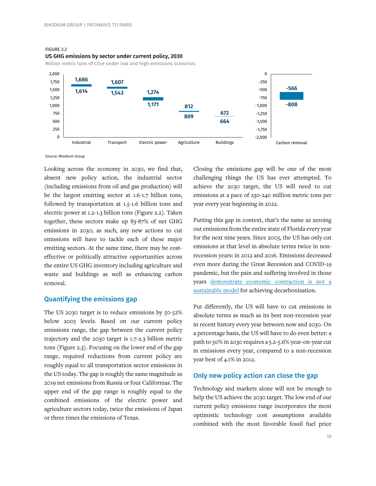FIGURE 2.2



Million metric tons of CO<sub>2</sub>e under low and high emissions scenarios



Source: Rhodium Group

Looking across the economy in 2030, we find that, absent new policy action, the industrial sector (including emissions from oil and gas production) will be the largest emitting sector at 1.6-1.7 billion tons, followed by transportation at 1.5-1.6 billion tons and electric power at 1.2-1.3 billion tons (Figure 2.2). Taken together, these sectors make up 83-87% of net GHG emissions in 2030; as such, any new actions to cut emissions will have to tackle each of these major emitting sectors. At the same time, there may be costeffective or politically attractive opportunities across the entire US GHG inventory including agriculture and waste and buildings as well as enhancing carbon removal.

#### Quantifying the emissions gap

The US 2030 target is to reduce emissions by 50-52% below 2005 levels. Based on our current policy emissions range, the gap between the current policy trajectory and the 2030 target is 1.7-2.3 billion metric tons (Figure 2.3). Focusing on the lower end of the gap range, required reductions from current policy are roughly equal to all transportation sector emissions in the US today. The gap is roughly the same magnitude as 2019 net emissions from Russia or four Californias. The upper end of the gap range is roughly equal to the combined emissions of the electric power and agriculture sectors today, twice the emissions of Japan or three times the emissions of Texas.

Closing the emissions gap will be one of the most challenging things the US has ever attempted. To achieve the 2030 target, the US will need to cut emissions at a pace of 230-240 million metric tons per year every year beginning in 2022.

Putting this gap in context, that's the same as zeroing out emissions from the entire state of Florida every year for the next nine years. Since 2005, the US has only cut emissions at that level in absolute terms twice in nonrecession years: in 2012 and 2016. Emissions decreased even more during the Great Recession and COVID-19 pandemic, but the pain and suffering involved in those years [demonstrate economic contraction is not a](https://rhg.com/research/taking-stock-2020/)  [sustainable model](https://rhg.com/research/taking-stock-2020/) for achieving decarbonization.

Put differently, the US will have to cut emissions in absolute terms as much as its best non-recession year in recent history every year between now and 2030. On a percentage basis, the US will have to do even better: a path to 50% in 2030 requires a 5.2-5.6% year-on-year cut in emissions every year, compared to a non-recession year best of 4.1% in 2012.

#### Only new policy action can close the gap

Technology and markets alone will not be enough to help the US achieve the 2030 target. The low end of our current policy emissions range incorporates the most optimistic technology cost assumptions available combined with the most favorable fossil fuel price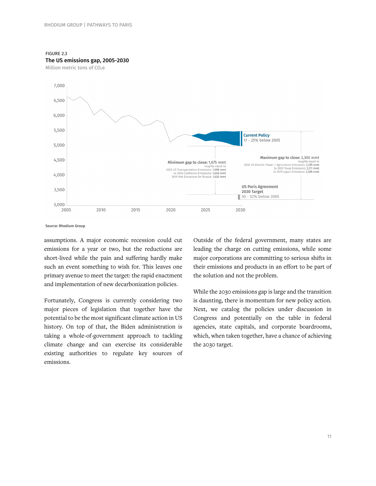#### FIGURE 2.3



Million metric tons of CO<sub>2</sub>e



Source: Rhodium Group

assumptions. A major economic recession could cut emissions for a year or two, but the reductions are short-lived while the pain and suffering hardly make such an event something to wish for. This leaves one primary avenue to meet the target: the rapid enactment and implementation of new decarbonization policies.

Fortunately, Congress is currently considering two major pieces of legislation that together have the potential to be the most significant climate action in US history. On top of that, the Biden administration is taking a whole-of-government approach to tackling climate change and can exercise its considerable existing authorities to regulate key sources of emissions.

Outside of the federal government, many states are leading the charge on cutting emissions, while some major corporations are committing to serious shifts in their emissions and products in an effort to be part of the solution and not the problem.

While the 2030 emissions gap is large and the transition is daunting, there is momentum for new policy action. Next, we catalog the policies under discussion in Congress and potentially on the table in federal agencies, state capitals, and corporate boardrooms, which, when taken together, have a chance of achieving the 2030 target.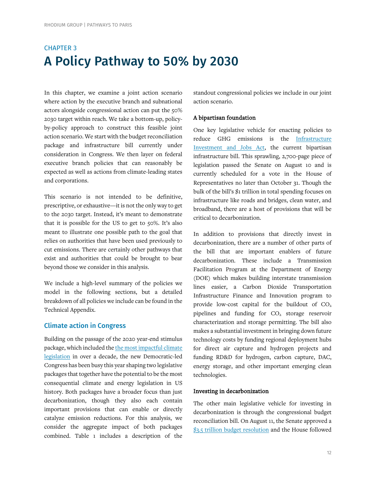# CHAPTER 3 A Policy Pathway to 50% by 2030

In this chapter, we examine a joint action scenario where action by the executive branch and subnational actors alongside congressional action can put the 50% 2030 target within reach. We take a bottom-up, policyby-policy approach to construct this feasible joint action scenario. We start with the budget reconciliation package and infrastructure bill currently under consideration in Congress. We then layer on federal executive branch policies that can reasonably be expected as well as actions from climate-leading states and corporations.

This scenario is not intended to be definitive, prescriptive, or exhaustive—it is not the only way to get to the 2030 target. Instead, it's meant to demonstrate that it is possible for the US to get to 50%. It's also meant to illustrate one possible path to the goal that relies on authorities that have been used previously to cut emissions. There are certainly other pathways that exist and authorities that could be brought to bear beyond those we consider in this analysis.

We include a high-level summary of the policies we model in the following sections, but a detailed breakdown of all policies we include can be found in the Technical Appendix.

# Climate action in Congress

Building on the passage of the 2020 year-end stimulus package, which included th[e the most impactful](https://rhg.com/research/climate-progress-in-the-year-end-stimulus/) climate [legislation](https://rhg.com/research/climate-progress-in-the-year-end-stimulus/) in over a decade, the new Democratic-led Congress has been busy this year shaping two legislative packages that together have the potential to be the most consequential climate and energy legislation in US history. Both packages have a broader focus than just decarbonization, though they also each contain important provisions that can enable or directly catalyze emission reductions. For this analysis, we consider the aggregate impact of both packages combined. Table 1 includes a description of the

standout congressional policies we include in our joint action scenario.

## A bipartisan foundation

One key legislative vehicle for enacting policies to reduce GHG emissions is the [Infrastructure](https://www.congress.gov/bill/117th-congress/house-bill/3684)  [Investment and Jobs Act,](https://www.congress.gov/bill/117th-congress/house-bill/3684) the current bipartisan infrastructure bill. This sprawling, 2,700-page piece of legislation passed the Senate on August 10 and is currently scheduled for a vote in the House of Representatives no later than October 31. Though the bulk of the bill's \$1 trillion in total spending focuses on infrastructure like roads and bridges, clean water, and broadband, there are a host of provisions that will be critical to decarbonization.

In addition to provisions that directly invest in decarbonization, there are a number of other parts of the bill that are important enablers of future decarbonization. These include a Transmission Facilitation Program at the Department of Energy (DOE) which makes building interstate transmission lines easier, a Carbon Dioxide Transportation Infrastructure Finance and Innovation program to provide low-cost capital for the buildout of  $CO<sub>2</sub>$ pipelines and funding for  $CO<sub>2</sub>$  storage reservoir characterization and storage permitting. The bill also makes a substantial investment in bringing down future technology costs by funding regional deployment hubs for direct air capture and hydrogen projects and funding RD&D for hydrogen, carbon capture, DAC, energy storage, and other important emerging clean technologies.

#### Investing in decarbonization

The other main legislative vehicle for investing in decarbonization is through the congressional budget reconciliation bill. On August 11, the Senate approved a [\\$3.5 trillion budget resolution](https://www.congress.gov/bill/117th-congress/senate-concurrent-resolution/14?r=1&s=4) and the House followed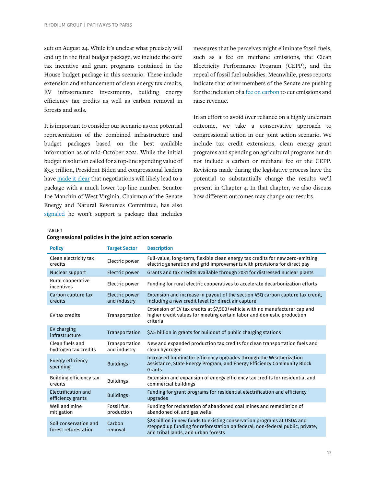suit on August 24. While it's unclear what precisely will end up in the final budget package, we include the core tax incentive and grant programs contained in the House budget package in this scenario. These include extension and enhancement of clean energy tax credits, EV infrastructure investments, building energy efficiency tax credits as well as carbon removal in forests and soils.

It is important to consider our scenario as one potential representation of the combined infrastructure and budget packages based on the best available information as of mid-October 2021. While the initial budget resolution called for a top-line spending value of \$3.5 trillion, President Biden and congressional leaders have [made it clear](https://www.speaker.gov/newsroom/10421) that negotiations will likely lead to a package with a much lower top-line number. Senator Joe Manchin of West Virginia, Chairman of the Senate Energy and Natural Resources Committee, has also [signaled](https://www.manchin.senate.gov/newsroom/press-releases/manchin-makes-no-sense-to-take-tools-out-of-the-toolbox-amid-transition-to-cleaner-energy-future) he won't support a package that includes

measures that he perceives might eliminate fossil fuels, such as a fee on methane emissions, the Clean Electricity Performance Program (CEPP), and the repeal of fossil fuel subsidies. Meanwhile, press reports indicate that other members of the Senate are pushing for the inclusion of [a fee on carbon](https://www.nytimes.com/2021/09/24/us/politics/carbon-tax-democrats.html) to cut emissions and raise revenue.

In an effort to avoid over reliance on a highly uncertain outcome, we take a conservative approach to congressional action in our joint action scenario. We include tax credit extensions, clean energy grant programs and spending on agricultural programs but do not include a carbon or methane fee or the CEPP. Revisions made during the legislative process have the potential to substantially change the results we'll present in Chapter 4. In that chapter, we also discuss how different outcomes may change our results.

#### TABLE 1

| Congressional policies in the joint action scenario |  |  |  |  |
|-----------------------------------------------------|--|--|--|--|
|-----------------------------------------------------|--|--|--|--|

| <b>Policy</b>                                   | <b>Target Sector</b>             | <b>Description</b>                                                                                                                                                                              |
|-------------------------------------------------|----------------------------------|-------------------------------------------------------------------------------------------------------------------------------------------------------------------------------------------------|
| Clean electricity tax<br>credits                | Electric power                   | Full-value, long-term, flexible clean energy tax credits for new zero-emitting<br>electric generation and grid improvements with provisions for direct pay                                      |
| Nuclear support                                 | Electric power                   | Grants and tax credits available through 2031 for distressed nuclear plants                                                                                                                     |
| Rural cooperative<br>incentives                 | Electric power                   | Funding for rural electric cooperatives to accelerate decarbonization efforts                                                                                                                   |
| Carbon capture tax<br>credits                   | Electric power<br>and industry   | Extension and increase in payout of the section 45Q carbon capture tax credit,<br>including a new credit level for direct air capture                                                           |
| EV tax credits                                  | Transportation                   | Extension of EV tax credits at \$7,500/vehicle with no manufacturer cap and<br>higher credit values for meeting certain labor and domestic production<br>criteria                               |
| EV charging<br>infrastructure                   | Transportation                   | \$7.5 billion in grants for buildout of public charging stations                                                                                                                                |
| Clean fuels and<br>hydrogen tax credits         | Transportation<br>and industry   | New and expanded production tax credits for clean transportation fuels and<br>clean hydrogen                                                                                                    |
| <b>Energy efficiency</b><br>spending            | <b>Buildings</b>                 | Increased funding for efficiency upgrades through the Weatherization<br>Assistance, State Energy Program, and Energy Efficiency Community Block<br>Grants                                       |
| Building efficiency tax<br>credits              | <b>Buildings</b>                 | Extension and expansion of energy efficiency tax credits for residential and<br>commercial buildings                                                                                            |
| <b>Electrification and</b><br>efficiency grants | <b>Buildings</b>                 | Funding for grant programs for residential electrification and efficiency<br>upgrades                                                                                                           |
| Well and mine<br>mitigation                     | <b>Fossil fuel</b><br>production | Funding for reclamation of abandoned coal mines and remediation of<br>abandoned oil and gas wells                                                                                               |
| Soil conservation and<br>forest reforestation   | Carbon<br>removal                | \$28 billion in new funds to existing conservation programs at USDA and<br>stepped up funding for reforestation on federal, non-federal public, private,<br>and tribal lands, and urban forests |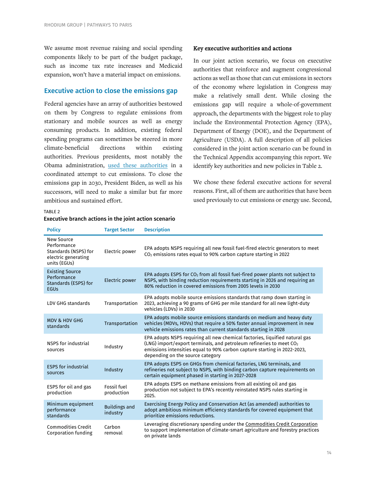We assume most revenue raising and social spending components likely to be part of the budget package, such as income tax rate increases and Medicaid expansion, won't have a material impact on emissions.

# Executive action to close the emissions gap

Federal agencies have an array of authorities bestowed on them by Congress to regulate emissions from stationary and mobile sources as well as energy consuming products. In addition, existing federal spending programs can sometimes be steered in more climate-beneficial directions within existing authorities. Previous presidents, most notably the Obama administration, [used these authorities](https://obamawhitehouse.archives.gov/president-obama-climate-action-plan) in a coordinated attempt to cut emissions. To close the emissions gap in 2030, President Biden, as well as his successors, will need to make a similar but far more ambitious and sustained effort.

#### Key executive authorities and actions

In our joint action scenario, we focus on executive authorities that reinforce and augment congressional actions as well as those that can cut emissions in sectors of the economy where legislation in Congress may make a relatively small dent. While closing the emissions gap will require a whole-of-government approach, the departments with the biggest role to play include the Environmental Protection Agency (EPA), Department of Energy (DOE), and the Department of Agriculture (USDA). A full description of all policies considered in the joint action scenario can be found in the Technical Appendix accompanying this report. We identify key authorities and new policies in Table 2.

We chose these federal executive actions for several reasons. First, all of them are authorities that have been used previously to cut emissions or energy use. Second,

TABLE 2

#### Executive branch actions in the joint action scenario

| <b>Policy</b>                                                                            | <b>Target Sector</b>             | <b>Description</b>                                                                                                                                                                                                                                                             |
|------------------------------------------------------------------------------------------|----------------------------------|--------------------------------------------------------------------------------------------------------------------------------------------------------------------------------------------------------------------------------------------------------------------------------|
| New Source<br>Performance<br>Standards (NSPS) for<br>electric generating<br>units (EGUs) | Electric power                   | EPA adopts NSPS requiring all new fossil fuel-fired electric generators to meet<br>$CO2$ emissions rates equal to 90% carbon capture starting in 2022                                                                                                                          |
| <b>Existing Source</b><br>Performance<br>Standards (ESPS) for<br><b>EGUs</b>             | Electric power                   | EPA adopts ESPS for $CO2$ from all fossil fuel-fired power plants not subject to<br>NSPS, with binding reduction requirements starting in 2026 and requiring an<br>80% reduction in covered emissions from 2005 levels in 2030                                                 |
| LDV GHG standards                                                                        | Transportation                   | EPA adopts mobile source emissions standards that ramp down starting in<br>2023, achieving a 90 grams of GHG per mile standard for all new light-duty<br>vehicles (LDVs) in 2030                                                                                               |
| <b>MDV &amp; HDV GHG</b><br>standards                                                    | Transportation                   | EPA adopts mobile source emissions standards on medium and heavy duty<br>vehicles (MDVs, HDVs) that require a 50% faster annual improvement in new<br>vehicle emissions rates than current standards starting in 2028                                                          |
| NSPS for industrial<br>sources                                                           | Industry                         | EPA adopts NSPS requiring all new chemical factories, liquified natural gas<br>(LNG) import/export terminals, and petroleum refineries to meet CO <sub>2</sub><br>emissions intensities equal to 90% carbon capture starting in 2022-2023,<br>depending on the source category |
| <b>ESPS</b> for industrial<br>sources                                                    | Industry                         | EPA adopts ESPS on GHGs from chemical factories, LNG terminals, and<br>refineries not subject to NSPS, with binding carbon capture requirements on<br>certain equipment phased in starting in 2027-2028                                                                        |
| ESPS for oil and gas<br>production                                                       | Fossil fuel<br>production        | EPA adopts ESPS on methane emissions from all existing oil and gas<br>production not subject to EPA's recently reinstated NSPS rules starting in<br>2025.                                                                                                                      |
| Minimum equipment<br>performance<br>standards                                            | <b>Buildings and</b><br>industry | Exercising Energy Policy and Conservation Act (as amended) authorities to<br>adopt ambitious minimum efficiency standards for covered equipment that<br>prioritize emissions reductions.                                                                                       |
| <b>Commodities Credit</b><br>Corporation funding                                         | Carbon<br>removal                | Leveraging discretionary spending under the Commodities Credit Corporation<br>to support implementation of climate-smart agriculture and forestry practices<br>on private lands                                                                                                |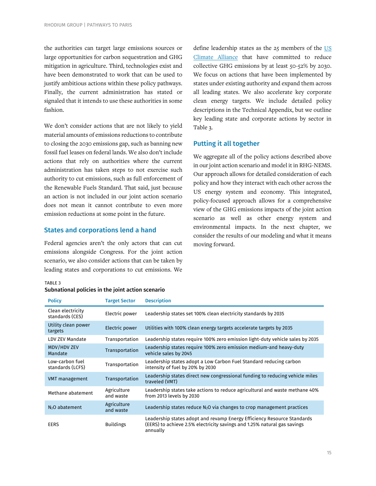the authorities can target large emissions sources or large opportunities for carbon sequestration and GHG mitigation in agriculture. Third, technologies exist and have been demonstrated to work that can be used to justify ambitious actions within these policy pathways. Finally, the current administration has stated or signaled that it intends to use these authorities in some fashion.

We don't consider actions that are not likely to yield material amounts of emissions reductions to contribute to closing the 2030 emissions gap, such as banning new fossil fuel leases on federal lands. We also don't include actions that rely on authorities where the current administration has taken steps to not exercise such authority to cut emissions, such as full enforcement of the Renewable Fuels Standard. That said, just because an action is not included in our joint action scenario does not mean it cannot contribute to even more emission reductions at some point in the future.

### States and corporations lend a hand

Federal agencies aren't the only actors that can cut emissions alongside Congress. For the joint action scenario, we also consider actions that can be taken by leading states and corporations to cut emissions. We

define leadership states as the 25 members of the [US](https://www.usclimatealliance.org/)  [Climate Alliance](https://www.usclimatealliance.org/) that have committed to reduce collective GHG emissions by at least 50-52% by 2030. We focus on actions that have been implemented by states under existing authority and expand them across all leading states. We also accelerate key corporate clean energy targets. We include detailed policy descriptions in the Technical Appendix, but we outline key leading state and corporate actions by sector in Table 3.

# Putting it all together

We aggregate all of the policy actions described above in our joint action scenario and model it in RHG-NEMS. Our approach allows for detailed consideration of each policy and how they interact with each other across the US energy system and economy. This integrated, policy-focused approach allows for a comprehensive view of the GHG emissions impacts of the joint action scenario as well as other energy system and environmental impacts. In the next chapter, we consider the results of our modeling and what it means moving forward.

TABLE 3

| Subnational policies in the joint action scenario |  |  |  |
|---------------------------------------------------|--|--|--|
|                                                   |  |  |  |

| <b>Policy</b>                        | <b>Target Sector</b>     | <b>Description</b>                                                                                                                                              |
|--------------------------------------|--------------------------|-----------------------------------------------------------------------------------------------------------------------------------------------------------------|
| Clean electricity<br>standards (CES) | Electric power           | Leadership states set 100% clean electricity standards by 2035                                                                                                  |
| Utility clean power<br>targets       | Electric power           | Utilities with 100% clean energy targets accelerate targets by 2035                                                                                             |
| <b>LDV ZEV Mandate</b>               | Transportation           | Leadership states require 100% zero emission light-duty vehicle sales by 2035                                                                                   |
| MDV/HDV ZEV<br>Mandate               | Transportation           | Leadership states require 100% zero emission medium-and heavy-duty<br>vehicle sales by 2045                                                                     |
| Low-carbon fuel<br>standards (LCFS)  | Transportation           | Leadership states adopt a Low Carbon Fuel Standard reducing carbon<br>intensity of fuel by 20% by 2030                                                          |
| VMT management                       | Transportation           | Leadership states direct new congressional funding to reducing vehicle miles<br>traveled (VMT)                                                                  |
| Methane abatement                    | Agriculture<br>and waste | Leadership states take actions to reduce agricultural and waste methane 40%<br>from 2013 levels by 2030                                                         |
| N <sub>2</sub> O abatement           | Agriculture<br>and waste | Leadership states reduce $N_2O$ via changes to crop management practices                                                                                        |
| <b>EERS</b>                          | <b>Buildings</b>         | Leadership states adopt and revamp Energy Efficiency Resource Standards<br>(EERS) to achieve 2.5% electricity savings and 1.25% natural gas savings<br>annually |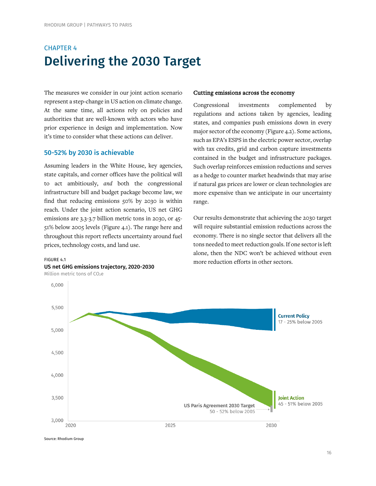# CHAPTER 4 Delivering the 2030 Target

The measures we consider in our joint action scenario represent a step-change in US action on climate change. At the same time, all actions rely on policies and authorities that are well-known with actors who have prior experience in design and implementation. Now it's time to consider what these actions can deliver.

# 50-52% by 2030 is achievable

Assuming leaders in the White House, key agencies, state capitals, and corner offices have the political will to act ambitiously, *and* both the congressional infrastructure bill and budget package become law, we find that reducing emissions 50% by 2030 is within reach. Under the joint action scenario, US net GHG emissions are 3.3-3.7 billion metric tons in 2030, or 45- 51% below 2005 levels (Figure 4.1). The range here and throughout this report reflects uncertainty around fuel prices, technology costs, and land use.

# FIGURE 4.1 US net GHG emissions trajectory, 2020-2030

Million metric tons of CO<sub>2</sub>e

#### Cutting emissions across the economy

Congressional investments complemented by regulations and actions taken by agencies, leading states, and companies push emissions down in every major sector of the economy (Figure 4.2). Some actions, such as EPA's ESPS in the electric power sector, overlap with tax credits, grid and carbon capture investments contained in the budget and infrastructure packages. Such overlap reinforces emission reductions and serves as a hedge to counter market headwinds that may arise if natural gas prices are lower or clean technologies are more expensive than we anticipate in our uncertainty range.

Our results demonstrate that achieving the 2030 target will require substantial emission reductions across the economy. There is no single sector that delivers all the tons needed to meet reduction goals. If one sector is left alone, then the NDC won't be achieved without even more reduction efforts in other sectors.



Source: Rhodium Group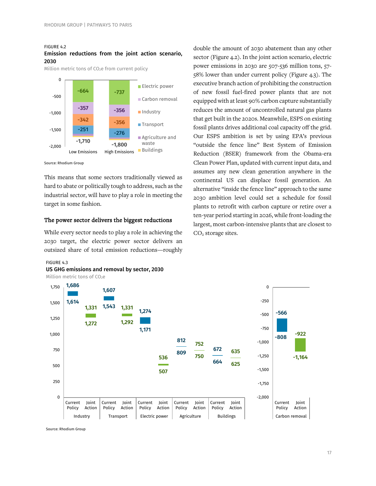#### FIGURE 4.2

#### Emission reductions from the joint action scenario, 2030

Million metric tons of CO<sub>2</sub>e from current policy



Source: Rhodium Group

This means that some sectors traditionally viewed as hard to abate or politically tough to address, such as the industrial sector, will have to play a role in meeting the target in some fashion.

#### The power sector delivers the biggest reductions

While every sector needs to play a role in achieving the 2030 target, the electric power sector delivers an outsized share of total emission reductions—roughly

# sector (Figure 4.2). In the joint action scenario, electric power emissions in 2030 are 507-536 million tons, 57- 58% lower than under current policy (Figure 4.3). The executive branch action of prohibiting the construction of new fossil fuel-fired power plants that are not equipped with at least 90% carbon capture substantially reduces the amount of uncontrolled natural gas plants that get built in the 2020s. Meanwhile, ESPS on existing fossil plants drives additional coal capacity off the grid. Our ESPS ambition is set by using EPA's previous "outside the fence line" Best System of Emission Reduction (BSER) framework from the Obama-era Clean Power Plan, updated with current input data, and assumes any new clean generation anywhere in the continental US can displace fossil generation. An alternative "inside the fence line" approach to the same 2030 ambition level could set a schedule for fossil plants to retrofit with carbon capture or retire over a ten-year period starting in 2026, while front-loading the largest, most carbon-intensive plants that are closest to CO<sub>2</sub> storage sites.

double the amount of 2030 abatement than any other

# FIGURE 4.3



Million metric tons of CO<sub>2</sub>e



Source: Rhodium Group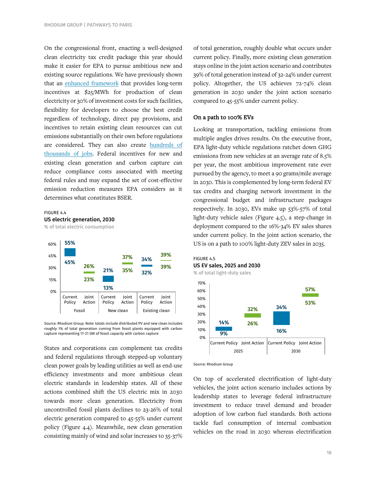On the congressional front, enacting a well-designed clean electricity tax credit package this year should make it easier for EPA to pursue ambitious new and existing source regulations. We have previously shown that an [enhanced framework](https://rhg.com/research/build-back-better-clean-energy-tax-credits/) that provides long-term incentives at \$25/MWh for production of clean electricity or 30% of investment costs for such facilities, flexibility for developers to choose the best credit regardless of technology, direct pay provisions, and incentives to retain existing clean resources can cut emissions substantially on their own before regulations are considered. They can also create [hundreds of](https://rhg.com/research/build-back-better-jobs-electric-power/)  [thousands of jobs.](https://rhg.com/research/build-back-better-jobs-electric-power/) Federal incentives for new and existing clean generation and carbon capture can reduce compliance costs associated with meeting federal rules and may expand the set of cost-effective emission reduction measures EPA considers as it determines what constitutes BSER.

FIGURE 4.4 US electric generation, 2030

% of total electric consumption



Source: Rhodium Group. Note: totals include distributed PV and new clean includes roughly 1% of total generation coming from fossil plants equipped with carbon capture representing 17-21 GW of fossil capacity with carbon capture

States and corporations can complement tax credits and federal regulations through stepped-up voluntary clean power goals by leading utilities as well as end-use efficiency investments and more ambitious clean electric standards in leadership states. All of these actions combined shift the US electric mix in 2030 towards more clean generation. Electricity from uncontrolled fossil plants declines to 23-26% of total electric generation compared to 45-55% under current policy (Figure 4.4). Meanwhile, new clean generation consisting mainly of wind and solar increases to 35-37%

of total generation, roughly double what occurs under current policy. Finally, more existing clean generation stays online in the joint action scenario and contributes 39% of total generation instead of 32-24% under current policy. Altogether, the US achieves 72-74% clean generation in 2030 under the joint action scenario compared to 45-55% under current policy.

#### On a path to 100% EVs

Looking at transportation, tackling emissions from multiple angles drives results. On the executive front, EPA light-duty vehicle regulations ratchet down GHG emissions from new vehicles at an average rate of 8.5% per year, the most ambitious improvement rate ever pursued by the agency, to meet a 90 grams/mile average in 2030. This is complemented by long-term federal EV tax credits and charging network investment in the congressional budget and infrastructure packages respectively. In 2030, EVs make up 53%-57% of total light-duty vehicle sales (Figure 4.5), a step-change in deployment compared to the 16%-34% EV sales shares under current policy. In the joint action scenario, the US is on a path to 100% light-duty ZEV sales in 2035.





FIGURE 4.5

On top of accelerated electrification of light-duty vehicles, the joint action scenario includes actions by leadership states to leverage federal infrastructure investment to reduce travel demand and broader adoption of low carbon fuel standards. Both actions tackle fuel consumption of internal combustion vehicles on the road in 2030 whereas electrification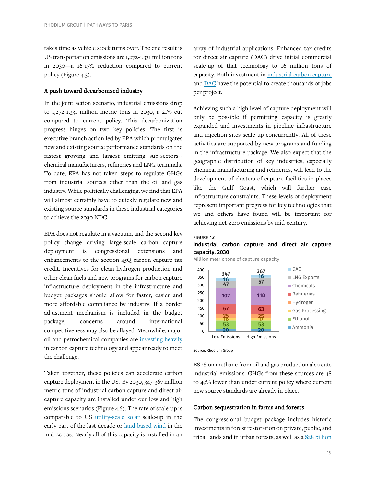takes time as vehicle stock turns over. The end result is US transportation emissions are 1,272-1,331 million tons in 2030—a 16-17% reduction compared to current policy (Figure 4.3).

### A push toward decarbonized industry

In the joint action scenario, industrial emissions drop to 1,272-1,331 million metric tons in 2030, a 21% cut compared to current policy. This decarbonization progress hinges on two key policies. The first is executive branch action led by EPA which promulgates new and existing source performance standards on the fastest growing and largest emitting sub-sectors- chemical manufacturers, refineries and LNG terminals. To date, EPA has not taken steps to regulate GHGs from industrial sources other than the oil and gas industry. While politically challenging, we find that EPA will almost certainly have to quickly regulate new and existing source standards in these industrial categories to achieve the 2030 NDC.

EPA does not regulate in a vacuum, and the second key policy change driving large-scale carbon capture deployment is congressional extensions and enhancements to the section 45Q carbon capture tax credit. Incentives for clean hydrogen production and other clean fuels and new programs for carbon capture infrastructure deployment in the infrastructure and budget packages should allow for faster, easier and more affordable compliance by industry. If a border adjustment mechanism is included in the budget package, concerns around international competitiveness may also be allayed. Meanwhile, major oil and petrochemical companies are [investing heavily](https://www.ogci.com/ogci-annual-reports/) in carbon capture technology and appear ready to meet the challenge.

Taken together, these policies can accelerate carbon capture deployment in the US. By 2030, 347-367 million metric tons of industrial carbon capture and direct air capture capacity are installed under our low and high emissions scenarios (Figure 4.6). The rate of scale-up is comparable to US [utility-scale solar](https://www.nrdc.org/revolution-now) scale-up in the early part of the last decade or [land-based wind](https://www.energy.gov/sites/default/files/2016/09/f33/Revolutiona%CC%82%E2%82%ACNow%202016%20Report_2.pdf) in the mid-2000s. Nearly all of this capacity is installed in an array of industrial applications. Enhanced tax credits for direct air capture (DAC) drive initial commercial scale-up of that technology to 16 million tons of capacity. Both investment in [industrial carbon capture](https://rhg.com/research/state-ccs/) an[d DAC](https://rhg.com/research/capturing-new-jobs-and-new-business/) have the potential to create thousands of jobs per project.

Achieving such a high level of capture deployment will only be possible if permitting capacity is greatly expanded and investments in pipeline infrastructure and injection sites scale up concurrently. All of these activities are supported by new programs and funding in the infrastructure package. We also expect that the geographic distribution of key industries, especially chemical manufacturing and refineries, will lead to the development of clusters of capture facilities in places like the Gulf Coast, which will further ease infrastructure constraints. These levels of deployment represent important progress for key technologies that we and others have found will be important for achieving net-zero emissions by mid-century.

#### FIGURE 4.6

#### Industrial carbon capture and direct air capture capacity, 2030

Million metric tons of capture capacity



Source: Rhodium Group

ESPS on methane from oil and gas production also cuts industrial emissions. GHGs from these sources are 48 to 49% lower than under current policy where current new source standards are already in place.

#### Carbon sequestration in farms and forests

The congressional budget package includes historic investments in forest restoration on private, public, and tribal lands and in urban forests, as well as a [\\$28 billion](https://www.aginfo.net/report/50901/Land-Livestock-Report/Democrats-Add-28-Billion-in-Conservation-Funding-to-Huge-Spending-Bill)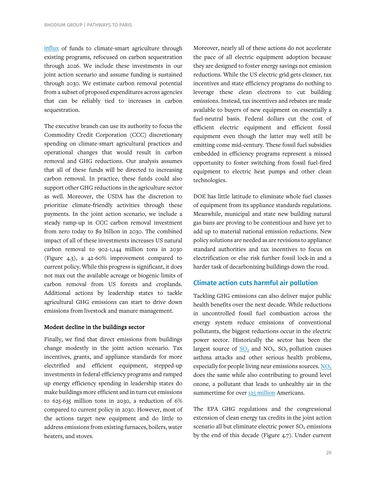[influx](https://www.aginfo.net/report/50901/Land-Livestock-Report/Democrats-Add-28-Billion-in-Conservation-Funding-to-Huge-Spending-Bill) of funds to climate-smart agriculture through existing programs, refocused on carbon sequestration through 2026. We include these investments in our joint action scenario and assume funding is sustained through 2030. We estimate carbon removal potential from a subset of proposed expenditures across agencies that can be reliably tied to increases in carbon sequestration.

The executive branch can use its authority to focus the Commodity Credit Corporation (CCC) discretionary spending on climate-smart agricultural practices and operational changes that would result in carbon removal and GHG reductions. Our analysis assumes that all of these funds will be directed to increasing carbon removal. In practice, these funds could also support other GHG reductions in the agriculture sector as well. Moreover, the USDA has the discretion to prioritize climate-friendly activities through these payments. In the joint action scenario, we include a steady ramp-up in CCC carbon removal investment from zero today to \$9 billion in 2030. The combined impact of all of these investments increases US natural carbon removal to 902-1,144 million tons in 2030 (Figure 4.3), a 42-60% improvement compared to current policy. While this progress is significant, it does not max out the available acreage or biogenic limits of carbon removal from US forests and croplands. Additional actions by leadership states to tackle agricultural GHG emissions can start to drive down emissions from livestock and manure management.

#### Modest decline in the buildings sector

Finally, we find that direct emissions from buildings change modestly in the joint action scenario. Tax incentives, grants, and appliance standards for more electrified and efficient equipment, stepped-up investments in federal efficiency programs and ramped up energy efficiency spending in leadership states do make buildings more efficient and in turn cut emissions to 625-635 million tons in 2030, a reduction of 6% compared to current policy in 2030. However, most of the actions target new equipment and do little to address emissions from existing furnaces, boilers, water heaters, and stoves.

Moreover, nearly all of these actions do not accelerate the pace of all electric equipment adoption because they are designed to foster energy savings not emission reductions. While the US electric grid gets cleaner, tax incentives and state efficiency programs do nothing to leverage these clean electrons to cut building emissions. Instead, tax incentives and rebates are made available to buyers of new equipment on essentially a fuel-neutral basis. Federal dollars cut the cost of efficient electric equipment and efficient fossil equipment even though the latter may well still be emitting come mid-century. These fossil fuel subsidies embedded in efficiency programs represent a missed opportunity to foster switching from fossil fuel-fired equipment to electric heat pumps and other clean technologies.

DOE has little latitude to eliminate whole fuel classes of equipment from its appliance standards regulations. Meanwhile, municipal and state new building natural gas bans are proving to be contentious and have yet to add up to material national emission reductions. New policy solutions are needed as are revisions to appliance standard authorities and tax incentives to focus on electrification or else risk further fossil lock-in and a harder task of decarbonizing buildings down the road.

# Climate action cuts harmful air pollution

Tackling GHG emissions can also deliver major public health benefits over the next decade. While reductions in uncontrolled fossil fuel combustion across the energy system reduce emissions of conventional pollutants, the biggest reductions occur in the electric power sector. Historically the sector has been the largest source of  $SO_2$  and  $NO_x$ .  $SO_2$  pollution causes asthma attacks and other serious health problems, especially for people living near emissions sources[. NOx](https://www.epa.gov/no2-pollution/basic-information-about-no2#Effects) does the same while also contributing to ground level ozone, a pollutant that leads to unhealthy air in the summertime for ove[r 125 million](https://www3.epa.gov/airquality/greenbook/jbtc.html) Americans.

The EPA GHG regulations and the congressional extension of clean energy tax credits in the joint action scenario all but eliminate electric power  $SO<sub>2</sub>$  emissions by the end of this decade (Figure 4.7). Under current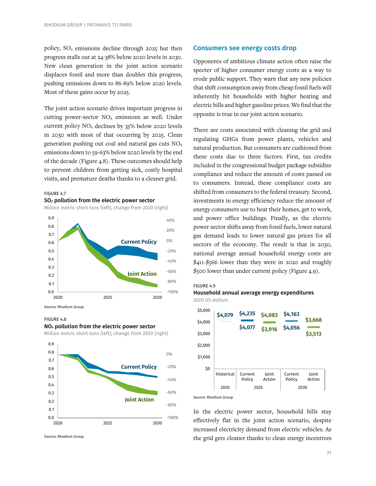policy,  $SO_2$  emissions decline through 2025 but then progress stalls out at 24-38% below 2020 levels in 2030. New clean generation in the joint action scenario displaces fossil and more than doubles this progress, pushing emissions down to 86-89% below 2020 levels. Most of these gains occur by 2025.

The joint action scenario drives important progress in cutting power-sector  $NO<sub>x</sub>$  emissions as well. Under current policy  $NO_x$  declines by  $35\%$  below 2020 levels in 2030 with most of that occurring by 2025. Clean generation pushing out coal and natural gas cuts  $NO<sub>x</sub>$ emissions down to 59-63% below 2020 levels by the end of the decade (Figure 4.8). These outcomes should help to prevent children from getting sick, costly hospital visits, and premature deaths thanks to a cleaner grid.

#### FIGURE 4.7

#### SO2 pollution from the electric power sector

Million metric short tons (left), change from 2020 (right)



Source: Rhodium Group

#### FIGURE 4.8  $NO<sub>x</sub>$  pollution from the electric power sector

Million metric short tons (left), change from 2020 (right)



Source: Rhodium Group

#### Consumers see energy costs drop

Opponents of ambitious climate action often raise the specter of higher consumer energy costs as a way to erode public support. They warn that any new policies that shift consumption away from cheap fossil fuels will inherently hit households with higher heating and electric bills and higher gasoline prices. We find that the opposite is true in our joint action scenario.

There are costs associated with cleaning the grid and regulating GHGs from power plants, vehicles and natural production. But consumers are cushioned from these costs due to three factors. First, tax credits included in the congressional budget package subsidize compliance and reduce the amount of costs passed on to consumers. Instead, these compliance costs are shifted from consumers to the federal treasury. Second, investments in energy efficiency reduce the amount of energy consumers use to heat their homes, get to work, and power office buildings. Finally, as the electric power sector shifts away from fossil fuels, lower natural gas demand leads to lower natural gas prices for all sectors of the economy. The result is that in 2030, national average annual household energy costs are \$411-\$566 lower than they were in 2020 and roughly \$500 lower than under current policy (Figure 4.9).

#### FIGURE 4.9





Source: Rhodium Group

In the electric power sector, household bills stay effectively flat in the joint action scenario, despite increased electricity demand from electric vehicles. As the grid gets cleaner thanks to clean energy incentives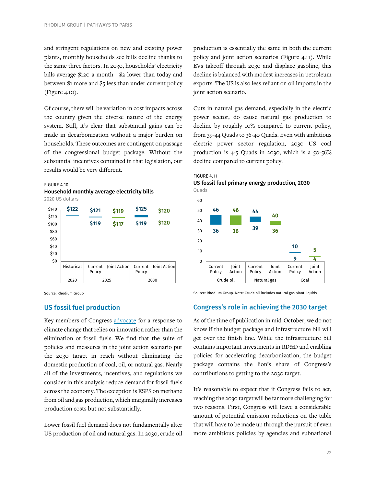and stringent regulations on new and existing power plants, monthly households see bills decline thanks to the same three factors. In 2030, households' electricity bills average \$120 a month—\$2 lower than today and between  $$1$  more and  $$5$  less than under current policy (Figure 4.10).

Of course, there will be variation in cost impacts across the country given the diverse nature of the energy system. Still, it's clear that substantial gains can be made in decarbonization without a major burden on households. These outcomes are contingent on passage of the congressional budget package. Without the substantial incentives contained in that legislation, our results would be very different.

#### FIGURE 4.10





Source: Rhodium Group

# US fossil fuel production

Key members of Congress [advocate](https://www.manchin.senate.gov/newsroom/press-releases/manchin-makes-no-sense-to-take-tools-out-of-the-toolbox-amid-transition-to-cleaner-energy-future) for a response to climate change that relies on innovation rather than the elimination of fossil fuels. We find that the suite of policies and measures in the joint action scenario put the 2030 target in reach without eliminating the domestic production of coal, oil, or natural gas. Nearly all of the investments, incentives, and regulations we consider in this analysis reduce demand for fossil fuels across the economy. The exception is ESPS on methane from oil and gas production, which marginally increases production costs but not substantially.

Lower fossil fuel demand does not fundamentally alter US production of oil and natural gas. In 2030, crude oil

production is essentially the same in both the current policy and joint action scenarios (Figure 4.11). While EVs takeoff through 2030 and displace gasoline, this decline is balanced with modest increases in petroleum exports. The US is also less reliant on oil imports in the joint action scenario.

Cuts in natural gas demand, especially in the electric power sector, do cause natural gas production to decline by roughly 10% compared to current policy, from 39-44 Quads to 36-40 Quads. Even with ambitious electric power sector regulation, 2030 US coal production is 4-5 Quads in 2030, which is a 50-56% decline compared to current policy.







Source: Rhodium Group. Note: Crude oil includes natural gas plant liquids.

# Congress's role in achieving the 2030 target

As of the time of publication in mid-October, we do not know if the budget package and infrastructure bill will get over the finish line. While the infrastructure bill contains important investments in RD&D and enabling policies for accelerating decarbonization, the budget package contains the lion's share of Congress's contributions to getting to the 2030 target.

It's reasonable to expect that if Congress fails to act, reaching the 2030 target will be far more challenging for two reasons. First, Congress will leave a considerable amount of potential emission reductions on the table that will have to be made up through the pursuit of even more ambitious policies by agencies and subnational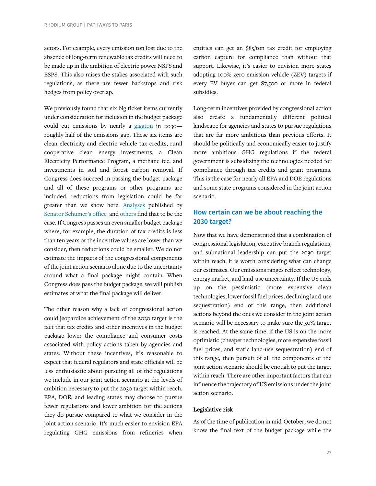actors. For example, every emission ton lost due to the absence of long-term renewable tax credits will need to be made up in the ambition of electric power NSPS and ESPS. This also raises the stakes associated with such regulations, as there are fewer backstops and risk hedges from policy overlap.

We previously found that six big ticket items currently under consideration for inclusion in the budget package could cut emissions by nearly a [gigaton](https://rhg.com/research/build-back-better-congress-budget/) in 2030 roughly half of the emissions gap. These six items are clean electricity and electric vehicle tax credits, rural cooperative clean energy investments, a Clean Electricity Performance Program, a methane fee, and investments in soil and forest carbon removal. If Congress does succeed in passing the budget package and all of these programs or other programs are included, reductions from legislation could be far greater than we show here. [Analyses](https://www.rff.org/publications/issue-briefs/cost-analysis-and-emissions-projections-under-power-sector-proposals-in-reconciliation/) published by [Senator Schumer's office](https://www.democrats.senate.gov/imo/media/doc/Dear%20Colleague%2008.25.21%20(FINAL).pdf) an[d others](https://energyinnovation.org/wp-content/uploads/2021/10/Modeling-The-Infrastructure-Bills-Using-The-Energy-Policy-Simulator.pdf) find that to be the case. If Congress passes an even smaller budget package where, for example, the duration of tax credits is less than ten years or the incentive values are lower than we consider, then reductions could be smaller. We do not estimate the impacts of the congressional components of the joint action scenario alone due to the uncertainty around what a final package might contain. When Congress does pass the budget package, we will publish estimates of what the final package will deliver.

The other reason why a lack of congressional action could jeopardize achievement of the 2030 target is the fact that tax credits and other incentives in the budget package lower the compliance and consumer costs associated with policy actions taken by agencies and states. Without these incentives, it's reasonable to expect that federal regulators and state officials will be less enthusiastic about pursuing all of the regulations we include in our joint action scenario at the levels of ambition necessary to put the 2030 target within reach. EPA, DOE, and leading states may choose to pursue fewer regulations and lower ambition for the actions they do pursue compared to what we consider in the joint action scenario. It's much easier to envision EPA regulating GHG emissions from refineries when

entities can get an \$85/ton tax credit for employing carbon capture for compliance than without that support. Likewise, it's easier to envision more states adopting 100% zer0-emission vehicle (ZEV) targets if every EV buyer can get \$7,500 or more in federal subsidies.

Long-term incentives provided by congressional action also create a fundamentally different political landscape for agencies and states to pursue regulations that are far more ambitious than previous efforts. It should be politically and economically easier to justify more ambitious GHG regulations if the federal government is subsidizing the technologies needed for compliance through tax credits and grant programs. This is the case for nearly all EPA and DOE regulations and some state programs considered in the joint action scenario.

# How certain can we be about reaching the 2030 target?

Now that we have demonstrated that a combination of congressional legislation, executive branch regulations, and subnational leadership can put the 2030 target within reach, it is worth considering what can change our estimates. Our emissions ranges reflect technology, energy market, and land-use uncertainty. If the US ends up on the pessimistic (more expensive clean technologies, lower fossil fuel prices, declining land-use sequestration) end of this range, then additional actions beyond the ones we consider in the joint action scenario will be necessary to make sure the 50% target is reached. At the same time, if the US is on the more optimistic (cheaper technologies, more expensive fossil fuel prices, and static land-use sequestration) end of this range, then pursuit of all the components of the joint action scenario should be enough to put the target within reach. There are other important factors that can influence the trajectory of US emissions under the joint action scenario.

#### Legislative risk

As of the time of publication in mid-October, we do not know the final text of the budget package while the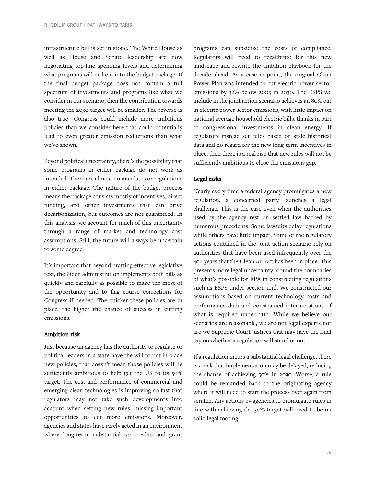infrastructure bill is set in stone. The White House as well as House and Senate leadership are now negotiating top-line spending levels and determining what programs will make it into the budget package. If the final budget package does not contain a full spectrum of investments and programs like what we consider in our scenario, then the contribution towards meeting the 2030 target will be smaller. The reverse is also true—Congress could include more ambitious policies than we consider here that could potentially lead to even greater emission reductions than what we've shown.

Beyond political uncertainty, there's the possibility that some programs in either package do not work as intended. There are almost no mandates or regulations in either package. The nature of the budget process means the package consists mostly of incentives, direct funding, and other investments that can drive decarbonization, but outcomes are not guaranteed. In this analysis, we account for much of this uncertainty through a range of market and technology cost assumptions. Still, the future will always be uncertain to some degree.

It's important that beyond drafting effective legislative text, the Biden administration implements both bills as quickly and carefully as possible to make the most of the opportunity and to flag course corrections for Congress if needed. The quicker these policies are in place, the higher the chance of success in cutting emissions.

#### Ambition risk

Just because an agency has the authority to regulate or political leaders in a state have the will to put in place new policies, that doesn't mean those policies will be sufficiently ambitious to help get the US to its 50% target. The cost and performance of commercial and emerging clean technologies is improving so fast that regulators may not take such developments into account when setting new rules, missing important opportunities to cut more emissions. Moreover, agencies and states have rarely acted in an environment where long-term, substantial tax credits and grant

programs can subsidize the costs of compliance. Regulators will need to recalibrate for this new landscape and rewrite the ambition playbook for the decade ahead. As a case in point, the original Clean Power Plan was intended to cut electric power sector emissions by 32% below 2005 in 2030. The ESPS we include in the joint action scenario achieves an 80% cut in electric power sector emissions, with little impact on national average household electric bills, thanks in part to congressional investments in clean energy. If regulators instead set rules based on stale historical data and no regard for the new long-term incentives in place, then there is a real risk that new rules will not be sufficiently ambitious to close the emissions gap.

### Legal risks

Nearly every time a federal agency promulgates a new regulation, a concerned party launches a legal challenge. This is the case even when the authorities used by the agency rest on settled law backed by numerous precedents. Some lawsuits delay regulations while others have little impact. Some of the regulatory actions contained in the joint action scenario rely on authorities that have been used infrequently over the 40+ years that the Clean Air Act has been in place. This presents more legal uncertainty around the boundaries of what's possible for EPA in constructing regulations such as ESPS under section 111d. We constructed our assumptions based on current technology costs and performance data and constrained interpretations of what is required under 111d. While we believe our scenarios are reasonable, we are not legal experts nor are we Supreme Court justices that may have the final say on whether a regulation will stand or not.

If a regulation incurs a substantial legal challenge, there is a risk that implementation may be delayed, reducing the chance of achieving 50% in 2030. Worse, a rule could be remanded back to the originating agency where it will need to start the process over again from scratch. Any actions by agencies to promulgate rules in line with achieving the 50% target will need to be on solid legal footing.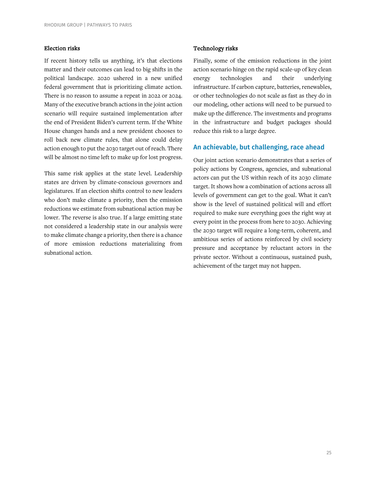### Election risks

If recent history tells us anything, it's that elections matter and their outcomes can lead to big shifts in the political landscape. 2020 ushered in a new unified federal government that is prioritizing climate action. There is no reason to assume a repeat in 2022 or 2024. Many of the executive branch actions in the joint action scenario will require sustained implementation after the end of President Biden's current term. If the White House changes hands and a new president chooses to roll back new climate rules, that alone could delay action enough to put the 2030 target out of reach. There will be almost no time left to make up for lost progress.

This same risk applies at the state level. Leadership states are driven by climate-conscious governors and legislatures. If an election shifts control to new leaders who don't make climate a priority, then the emission reductions we estimate from subnational action may be lower. The reverse is also true. If a large emitting state not considered a leadership state in our analysis were to make climate change a priority, then there is a chance of more emission reductions materializing from subnational action.

#### Technology risks

Finally, some of the emission reductions in the joint action scenario hinge on the rapid scale-up of key clean energy technologies and their underlying infrastructure. If carbon capture, batteries, renewables, or other technologies do not scale as fast as they do in our modeling, other actions will need to be pursued to make up the difference. The investments and programs in the infrastructure and budget packages should reduce this risk to a large degree.

### An achievable, but challenging, race ahead

Our joint action scenario demonstrates that a series of policy actions by Congress, agencies, and subnational actors can put the US within reach of its 2030 climate target. It shows how a combination of actions across all levels of government can get to the goal. What it can't show is the level of sustained political will and effort required to make sure everything goes the right way at every point in the process from here to 2030. Achieving the 2030 target will require a long-term, coherent, and ambitious series of actions reinforced by civil society pressure and acceptance by reluctant actors in the private sector. Without a continuous, sustained push, achievement of the target may not happen.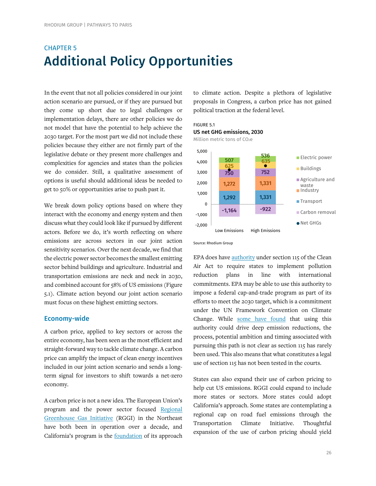# CHAPTER 5 Additional Policy Opportunities

In the event that not all policies considered in our joint action scenario are pursued, or if they are pursued but they come up short due to legal challenges or implementation delays, there are other policies we do not model that have the potential to help achieve the 2030 target. For the most part we did not include these policies because they either are not firmly part of the legislative debate or they present more challenges and complexities for agencies and states than the policies we do consider. Still, a qualitative assessment of options is useful should additional ideas be needed to get to 50% or opportunities arise to push past it.

We break down policy options based on where they interact with the economy and energy system and then discuss what they could look like if pursued by different actors. Before we do, it's worth reflecting on where emissions are across sectors in our joint action sensitivity scenarios. Over the next decade, we find that the electric power sector becomes the smallest emitting sector behind buildings and agriculture. Industrial and transportation emissions are neck and neck in 2030, and combined account for 58% of US emissions (Figure 5.1). Climate action beyond our joint action scenario must focus on these highest emitting sectors.

### Economy-wide

A carbon price, applied to key sectors or across the entire economy, has been seen as the most efficient and straight-forward way to tackle climate change. A carbon price can amplify the impact of clean energy incentives included in our joint action scenario and sends a longterm signal for investors to shift towards a net-zero economy.

A carbon price is not a new idea. The European Union's program and the power sector focused [Regional](https://www.rggi.org/)  [Greenhouse Gas Initiative](https://www.rggi.org/) (RGGI) in the Northeast have both been in operation over a decade, and California's program is the [foundation](https://ww2.arb.ca.gov/resources/fact-sheets/ab-32-global-warming-solutions-act-2006) of its approach

to climate action. Despite a plethora of legislative proposals in Congress, a carbon price has not gained political traction at the federal level.

# FIGURE 5.1 US net GHG emissions, 2030

Million metric tons of CO<sub>2</sub>e



Source: Rhodium Group

EPA does hav[e authority](https://climate.law.columbia.edu/sites/default/files/content/Combatting%20Climate%20Change%20With%20Section%20115_Summary.2020_0.pdf) under section 115 of the Clean Air Act to require states to implement pollution reduction plans in line with international commitments. EPA may be able to use this authority to impose a federal cap-and-trade program as part of its efforts to meet the 2030 target, which is a commitment under the UN Framework Convention on Climate Change. While [some have found](https://globalchange.mit.edu/sites/default/files/MITJPSPGC_Rpt351.pdf) that using this authority could drive deep emission reductions, the process, potential ambition and timing associated with pursuing this path is not clear as section 115 has rarely been used. This also means that what constitutes a legal use of section 115 has not been tested in the courts.

States can also expand their use of carbon pricing to help cut US emissions. RGGI could expand to include more states or sectors. More states could adopt California's approach. Some states are contemplating a regional cap on road fuel emissions through the Transportation Climate Initiative. Thoughtful expansion of the use of carbon pricing should yield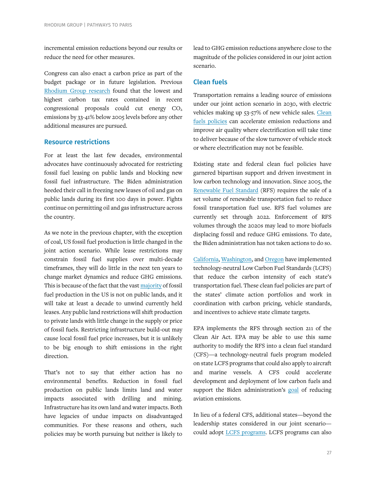incremental emission reductions beyond our results or reduce the need for other measures.

Congress can also enact a carbon price as part of the budget package or in future legislation. Previous [Rhodium Group](https://rhg.com/research/expanding-the-reach-of-a-carbon-tax/) research found that the lowest and highest carbon tax rates contained in recent  $congressional$  proposals could cut energy  $CO<sub>2</sub>$ emissions by 33-41% below 2005 levels before any other additional measures are pursued.

# Resource restrictions

For at least the last few decades, environmental advocates have continuously advocated for restricting fossil fuel leasing on public lands and blocking new fossil fuel infrastructure. The Biden administration heeded their call in freezing new leases of oil and gas on public lands during its first 100 days in power. Fights continue on permitting oil and gas infrastructure across the country.

As we note in the previous chapter, with the exception of coal, US fossil fuel production is little changed in the joint action scenario. While lease restrictions may constrain fossil fuel supplies over multi-decade timeframes, they will do little in the next ten years to change market dynamics and reduce GHG emissions. This is because of the fact that the vas[t majority](https://crsreports.congress.gov/product/pdf/R/R42432) of fossil fuel production in the US is not on public lands, and it will take at least a decade to unwind currently held leases. Any public land restrictions will shift production to private lands with little change in the supply or price of fossil fuels. Restricting infrastructure build-out may cause local fossil fuel price increases, but it is unlikely to be big enough to shift emissions in the right direction.

That's not to say that either action has no environmental benefits. Reduction in fossil fuel production on public lands limits land and water impacts associated with drilling and mining. Infrastructure has its own land and water impacts. Both have legacies of undue impacts on disadvantaged communities. For these reasons and others, such policies may be worth pursuing but neither is likely to

lead to GHG emission reductions anywhere close to the magnitude of the policies considered in our joint action scenario.

# Clean fuels

Transportation remains a leading source of emissions under our joint action scenario in 2030, with electric vehicles making up 53-57% of new vehicle sales. Clean [fuels policies](https://theicct.org/sites/default/files/publications/LCFS-and-EVs-dec2020.pdf) can accelerate emission reductions and improve air quality where electrification will take time to deliver because of the slow turnover of vehicle stock or where electrification may not be feasible.

Existing state and federal clean fuel policies have garnered bipartisan support and driven investment in low carbon technology and innovation. Since 2005, the [Renewable Fuel Standard](https://www.epa.gov/renewable-fuel-standard-program) (RFS) requires the sale of a set volume of renewable transportation fuel to reduce fossil transportation fuel use. RFS fuel volumes are currently set through 2022. Enforcement of RFS volumes through the 2020s may lead to more biofuels displacing fossil and reduce GHG emissions. To date, the Biden administration has not taken actions to do so.

[California,](https://ww2.arb.ca.gov/our-work/programs/low-carbon-fuel-standard/about) [Washington,](https://ecology.wa.gov/Air-Climate/Climate-change/Greenhouse-gases/Reducing-greenhouse-gases/Clean-Fuel-Standard) an[d Oregon](https://www.oregon.gov/deq/ghgp/cfp/Pages/default.aspx) have implemented technology-neutral Low Carbon Fuel Standards (LCFS) that reduce the carbon intensity of each state's transportation fuel. These clean fuel policies are part of the states' climate action portfolios and work in coordination with carbon pricing, vehicle standards, and incentives to achieve state climate targets.

EPA implements the RFS through section 211 of the Clean Air Act. EPA may be able to use this same authority to modify the RFS into a clean fuel standard (CFS)—a technology-neutral fuels program modeled on state LCFS programs that could also apply to aircraft and marine vessels. A CFS could accelerate development and deployment of low carbon fuels and support the Biden administration's [goal](https://www.whitehouse.gov/briefing-room/statements-releases/2021/09/09/fact-sheet-biden-administration-advances-the-future-of-sustainable-fuels-in-american-aviation/) of reducing aviation emissions.

In lieu of a federal CFS, additional states—beyond the leadership states considered in our joint scenario could adopt LCFS [programs.](https://www.betterenergy.org/wp-content/uploads/2020/01/Clean-Fuels-Policy-for-the-Midwest.pdf) LCFS programs can also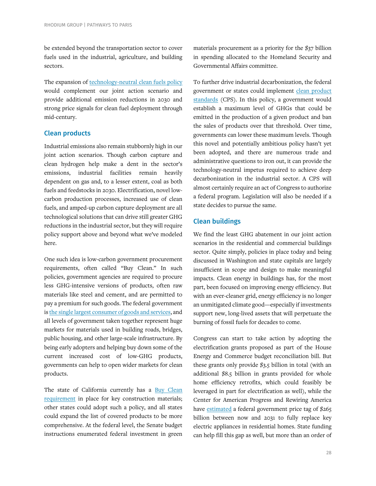be extended beyond the transportation sector to cover fuels used in the industrial, agriculture, and building sectors.

The expansion o[f technology-neutral clean fuels policy](https://rhg.com/research/closing-the-transportation-emissions-gap-with-clean-fuels/) would complement our joint action scenario and provide additional emission reductions in 2030 and strong price signals for clean fuel deployment through mid-century.

# Clean products

Industrial emissions also remain stubbornly high in our joint action scenarios. Though carbon capture and clean hydrogen help make a dent in the sector's emissions, industrial facilities remain heavily dependent on gas and, to a lesser extent, coal as both fuels and feedstocks in 2030. Electrification, novel lowcarbon production processes, increased use of clean fuels, and amped-up carbon capture deployment are all technological solutions that can drive still greater GHG reductions in the industrial sector, but they will require policy support above and beyond what we've modeled here.

One such idea is low-carbon government procurement requirements, often called "Buy Clean." In such policies, government agencies are required to procure less GHG-intensive versions of products, often raw materials like steel and cement, and are permitted to pay a premium for such goods. The federal government i[s the single largest consumer of goods and services,](https://www.epa.gov/greenerproducts/selling-greener-products-and-services-federal-government) and all levels of government taken together represent huge markets for materials used in building roads, bridges, public housing, and other large-scale infrastructure. By being early adopters and helping buy down some of the current increased cost of low-GHG products, governments can help to open wider markets for clean products.

The state of California currently has a [Buy Clean](https://www.dgs.ca.gov/PD/Resources/Page-Content/Procurement-Division-Resources-List-Folder/Buy-Clean-California-Act)  [requirement](https://www.dgs.ca.gov/PD/Resources/Page-Content/Procurement-Division-Resources-List-Folder/Buy-Clean-California-Act) in place for key construction materials; other states could adopt such a policy, and all states could expand the list of covered products to be more comprehensive. At the federal level, the Senate budget instructions enumerated federal investment in green

materials procurement as a priority for the \$37 billion in spending allocated to the Homeland Security and Governmental Affairs committee.

To further drive industrial decarbonization, the federal government or states could implement clean product [standards](https://rhg.com/research/clean-products-standard-industrial-decarbonization/) (CPS). In this policy, a government would establish a maximum level of GHGs that could be emitted in the production of a given product and ban the sales of products over that threshold. Over time, governments can lower these maximum levels. Though this novel and potentially ambitious policy hasn't yet been adopted, and there are numerous trade and administrative questions to iron out, it can provide the technology-neutral impetus required to achieve deep decarbonization in the industrial sector. A CPS will almost certainly require an act of Congress to authorize a federal program. Legislation will also be needed if a state decides to pursue the same.

# Clean buildings

We find the least GHG abatement in our joint action scenarios in the residential and commercial buildings sector. Quite simply, policies in place today and being discussed in Washington and state capitals are largely insufficient in scope and design to make meaningful impacts. Clean energy in buildings has, for the most part, been focused on improving energy efficiency. But with an ever-cleaner grid, energy efficiency is no longer an unmitigated climate good—especially if investments support new, long-lived assets that will perpetuate the burning of fossil fuels for decades to come.

Congress can start to take action by adopting the electrification grants proposed as part of the House Energy and Commerce budget reconciliation bill. But these grants only provide \$3.5 billion in total (with an additional \$8.5 billion in grants provided for whole home efficiency retrofits, which could feasibly be leveraged in part for electrification as well), while the Center for American Progress and Rewiring America have [estimated](https://www.rewiringamerica.org/policy/appliance-rebates-plan) a federal government price tag of \$265 billion between now and 2031 to fully replace key electric appliances in residential homes. State funding can help fill this gap as well, but more than an order of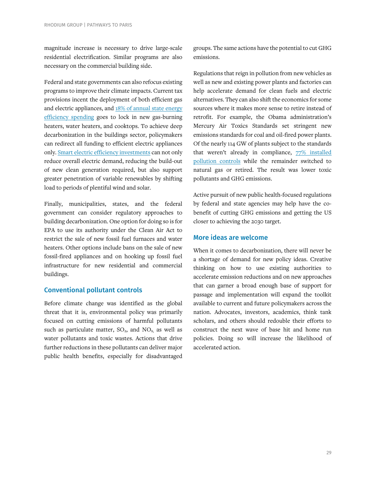magnitude increase is necessary to drive large-scale residential electrification. Similar programs are also necessary on the commercial building side.

Federal and state governments can also refocus existing programs to improve their climate impacts. Current tax provisions incent the deployment of both efficient gas and electric appliances, and [18% of annual state energy](https://www.aceee.org/research-report/u2011)  [efficiency spending](https://www.aceee.org/research-report/u2011) goes to lock in new gas-burning heaters, water heaters, and cooktops. To achieve deep decarbonization in the buildings sector, policymakers can redirect all funding to efficient electric appliances only. [Smart electric efficiency investments](https://www.aceee.org/press-release/2021/09/report-states-climate-efforts-will-be-more-costly-less-equitable-without) can not only reduce overall electric demand, reducing the build-out of new clean generation required, but also support greater penetration of variable renewables by shifting load to periods of plentiful wind and solar.

Finally, municipalities, states, and the federal government can consider regulatory approaches to building decarbonization. One option for doing so is for EPA to use its authority under the Clean Air Act to restrict the sale of new fossil fuel furnaces and water heaters. Other options include bans on the sale of new fossil-fired appliances and on hooking up fossil fuel infrastructure for new residential and commercial buildings.

# Conventional pollutant controls

Before climate change was identified as the global threat that it is, environmental policy was primarily focused on cutting emissions of harmful pollutants such as particulate matter,  $SO_2$ , and  $NO_{X}$ , as well as water pollutants and toxic wastes. Actions that drive further reductions in these pollutants can deliver major public health benefits, especially for disadvantaged

groups. The same actions have the potential to cut GHG emissions.

Regulations that reign in pollution from new vehicles as well as new and existing power plants and factories can help accelerate demand for clean fuels and electric alternatives. They can also shift the economics for some sources where it makes more sense to retire instead of retrofit. For example, the Obama administration's Mercury Air Toxics Standards set stringent new emissions standards for coal and oil-fired power plants. Of the nearly 114 GW of plants subject to the standards that weren't already in compliance, [77% installed](https://www.eia.gov/todayinenergy/detail.php?id=32952)  [pollution controls](https://www.eia.gov/todayinenergy/detail.php?id=32952) while the remainder switched to natural gas or retired. The result was lower toxic pollutants and GHG emissions.

Active pursuit of new public health-focused regulations by federal and state agencies may help have the cobenefit of cutting GHG emissions and getting the US closer to achieving the 2030 target.

# More ideas are welcome

When it comes to decarbonization, there will never be a shortage of demand for new policy ideas. Creative thinking on how to use existing authorities to accelerate emission reductions and on new approaches that can garner a broad enough base of support for passage and implementation will expand the toolkit available to current and future policymakers across the nation. Advocates, investors, academics, think tank scholars, and others should redouble their efforts to construct the next wave of base hit and home run policies. Doing so will increase the likelihood of accelerated action.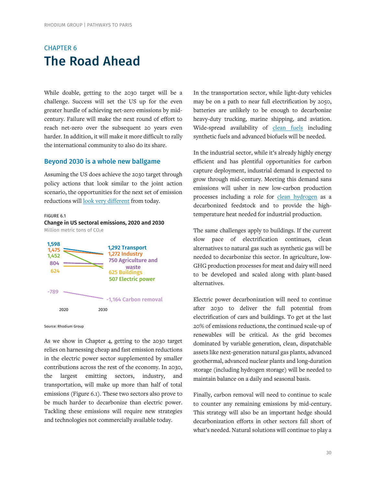# CHAPTER 6 The Road Ahead

While doable, getting to the 2030 target will be a challenge. Success will set the US up for the even greater hurdle of achieving net-zero emissions by midcentury. Failure will make the next round of effort to reach net-zero over the subsequent 20 years even harder. In addition, it will make it more difficult to rally the international community to also do its share.

# Beyond 2030 is a whole new ballgame

Assuming the US does achieve the 2030 target through policy actions that look similar to the joint action scenario, the opportunities for the next set of emission reductions wil[l look very different](https://www.evolved.energy/post/2019/05/08/350-ppm-pathways-for-the-united-states) from today.

#### FIGURE 6.1 Change in US sectoral emissions, 2020 and 2030 Million metric tons of CO2e



Source: Rhodium Group

As we show in Chapter 4, getting to the 2030 target relies on harnessing cheap and fast emission reductions in the electric power sector supplemented by smaller contributions across the rest of the economy. In 2030, the largest emitting sectors, industry, and transportation, will make up more than half of total emissions (Figure 6.1). These two sectors also prove to be much harder to decarbonize than electric power. Tackling these emissions will require new strategies and technologies not commercially available today.

In the transportation sector, while light-duty vehicles may be on a path to near full electrification by 2050, batteries are unlikely to be enough to decarbonize heavy-duty trucking, marine shipping, and aviation. Wide-spread availability of [clean fuels](https://rhg.com/wp-content/uploads/2021/01/Closing-the-Transportation-Emissions-Gap-with-Clean-Fuels-1.pdf) including synthetic fuels and advanced biofuels will be needed.

In the industrial sector, while it's already highly energy efficient and has plentiful opportunities for carbon capture deployment, industrial demand is expected to grow through mid-century. Meeting this demand sans emissions will usher in new low-carbon production processes including a role for [clean hydrogen](https://rhg.com/research/clean-hydrogen-decarbonization/) as a decarbonized feedstock and to provide the hightemperature heat needed for industrial production.

The same challenges apply to buildings. If the current slow pace of electrification continues, clean alternatives to natural gas such as synthetic gas will be needed to decarbonize this sector. In agriculture, low-GHG production processes for meat and dairy will need to be developed and scaled along with plant-based alternatives.

Electric power decarbonization will need to continue after 2030 to deliver the full potential from electrification of cars and buildings. To get at the last 20% of emissions reductions, the continued scale-up of renewables will be critical. As the grid becomes dominated by variable generation, clean, dispatchable assets like next-generation natural gas plants, advanced geothermal, advanced nuclear plants and long-duration storage (including hydrogen storage) will be needed to maintain balance on a daily and seasonal basis.

Finally, carbon removal will need to continue to scale to counter any remaining emissions by mid-century. This strategy will also be an important hedge should decarbonization efforts in other sectors fall short of what's needed. Natural solutions will continue to play a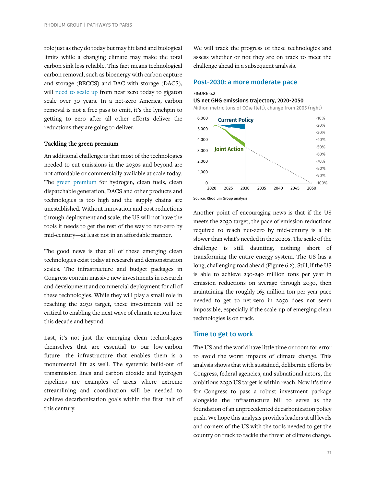role just as they do today but may hit land and biological limits while a changing climate may make the total carbon sink less reliable. This fact means technological carbon removal, such as bioenergy with carbon capture and storage (BECCS) and DAC with storage (DACS), will [need to scale up](https://rhg.com/research/capturing-leadership-policies-for-the-us-to-advance-direct-air-capture-technology/) from near zero today to gigaton scale over 30 years. In a net-zero America, carbon removal is not a free pass to emit, it's the lynchpin to getting to zero after all other efforts deliver the reductions they are going to deliver.

#### Tackling the green premium

An additional challenge is that most of the technologies needed to cut emissions in the 2030s and beyond are not affordable or commercially available at scale today. The [green premium](https://www.breakthroughenergy.org/our-challenge/the-green-premium) for hydrogen, clean fuels, clean dispatchable generation, DACS and other products and technologies is too high and the supply chains are unestablished. Without innovation and cost reductions through deployment and scale, the US will not have the tools it needs to get the rest of the way to net-zero by mid-century—at least not in an affordable manner.

The good news is that all of these emerging clean technologies exist today at research and demonstration scales. The infrastructure and budget packages in Congress contain massive new investments in research and development and commercial deployment for all of these technologies. While they will play a small role in reaching the 2030 target, these investments will be critical to enabling the next wave of climate action later this decade and beyond.

Last, it's not just the emerging clean technologies themselves that are essential to our low-carbon future—the infrastructure that enables them is a monumental lift as well. The systemic build-out of transmission lines and carbon dioxide and hydrogen pipelines are examples of areas where extreme streamlining and coordination will be needed to achieve decarbonization goals within the first half of this century.

We will track the progress of these technologies and assess whether or not they are on track to meet the challenge ahead in a subsequent analysis.

#### Post-2030: a more moderate pace

#### FIGURE 6.2

#### US net GHG emissions trajectory, 2020-2050

Million metric tons of CO<sub>2</sub>e (left), change from 2005 (right)



Source: Rhodium Group analysis

Another point of encouraging news is that if the US meets the 2030 target, the pace of emission reductions required to reach net-zero by mid-century is a bit slower than what's needed in the 2020s. The scale of the challenge is still daunting, nothing short of transforming the entire energy system. The US has a long, challenging road ahead (Figure 6.2). Still, if the US is able to achieve 230-240 million tons per year in emission reductions on average through 2030, then maintaining the roughly 165 million ton per year pace needed to get to net-zero in 2050 does not seem impossible, especially if the scale-up of emerging clean technologies is on track.

#### Time to get to work

The US and the world have little time or room for error to avoid the worst impacts of climate change. This analysis shows that with sustained, deliberate efforts by Congress, federal agencies, and subnational actors, the ambitious 2030 US target is within reach. Now it's time for Congress to pass a robust investment package alongside the infrastructure bill to serve as the foundation of an unprecedented decarbonization policy push. We hope this analysis provides leaders at all levels and corners of the US with the tools needed to get the country on track to tackle the threat of climate change.